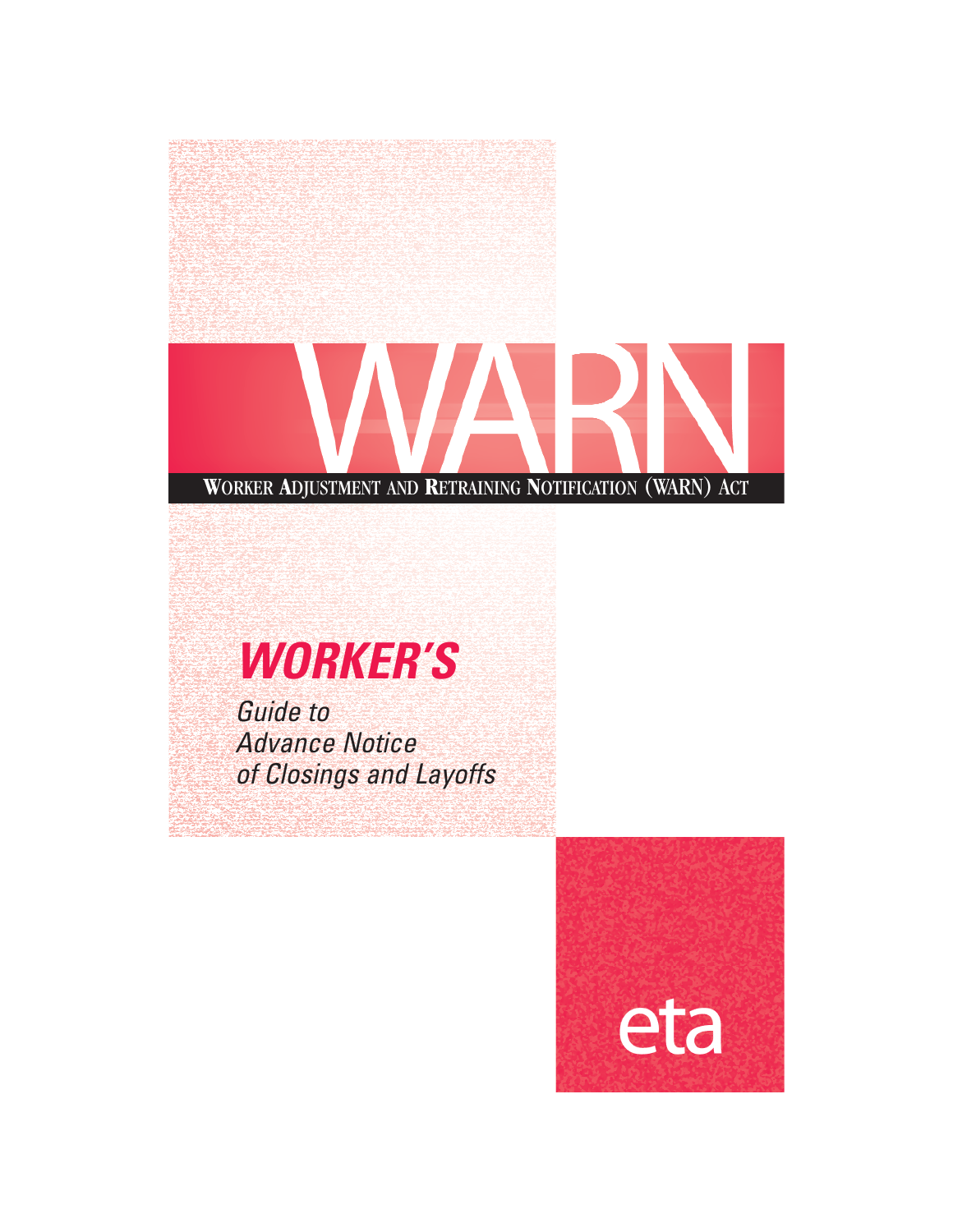

# *WORKER'S*

Guide to Advance Notice of Closings and Layoffs

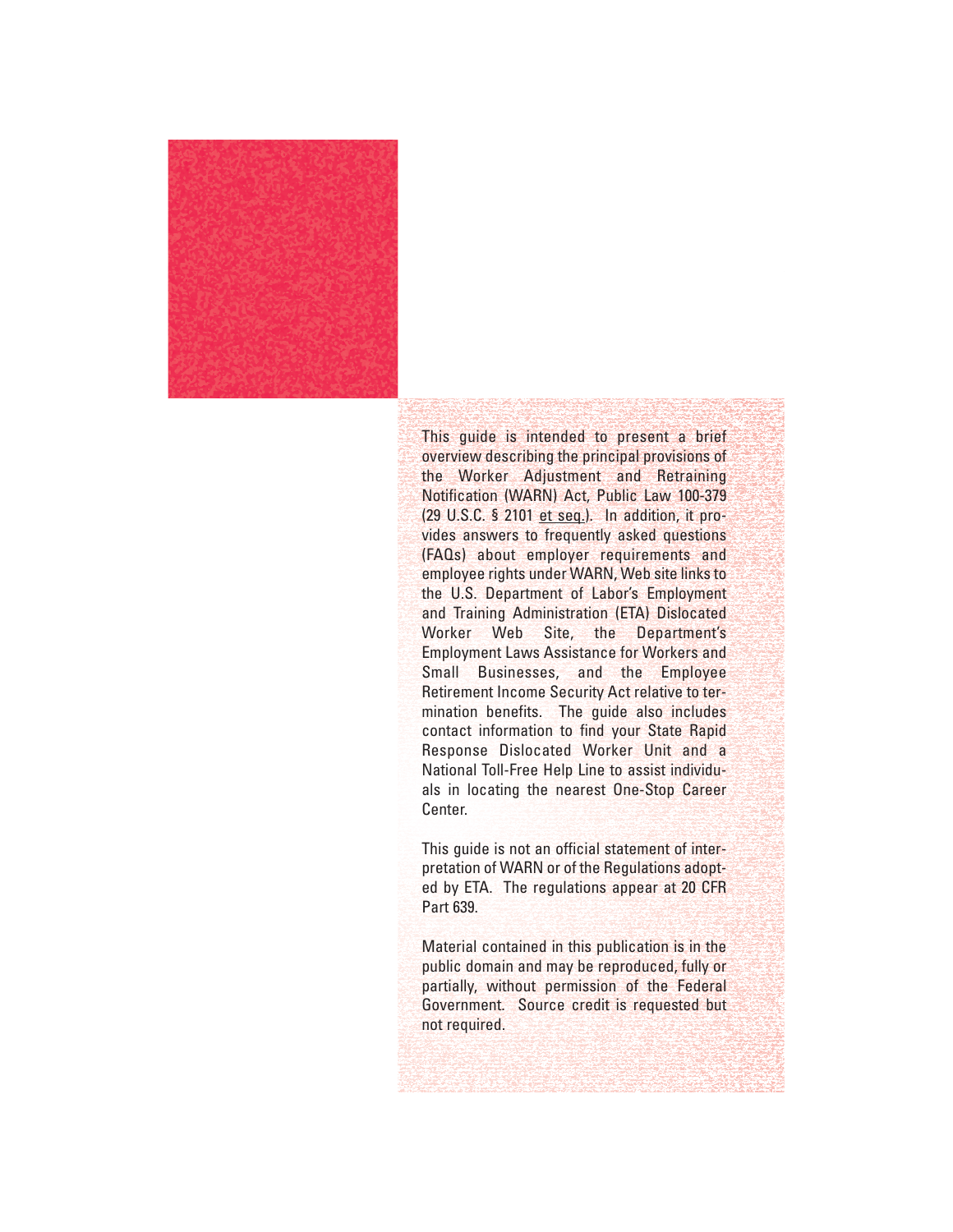

This guide is intended to present a brief overview describing the principal provisions of the Worker Adjustment and Retraining Notification (WARN) Act, Public Law 100-379 (29 U.S.C. § 2101 et seq.). In addition, it provides answers to frequently asked questions (FAQs) about employer requirements and employee rights under WARN, Web site links to the U.S. Department of Labor's Employment and Training Administration (ETA) Dislocated Worker Web Site, the Department's Employment Laws Assistance for Workers and Small Businesses, and the Employee Retirement Income Security Act relative to termination benefits. The guide also includes contact information to find your State Rapid Response Dislocated Worker Unit and a National Toll-Free Help Line to assist individuals in locating the nearest One-Stop Career Center.

This guide is not an official statement of interpretation of WARN or of the Regulations adopted by ETA. The regulations appear at 20 CFR Part 639.

Material contained in this publication is in the public domain and may be reproduced, fully or partially, without permission of the Federal Government. Source credit is requested but not required.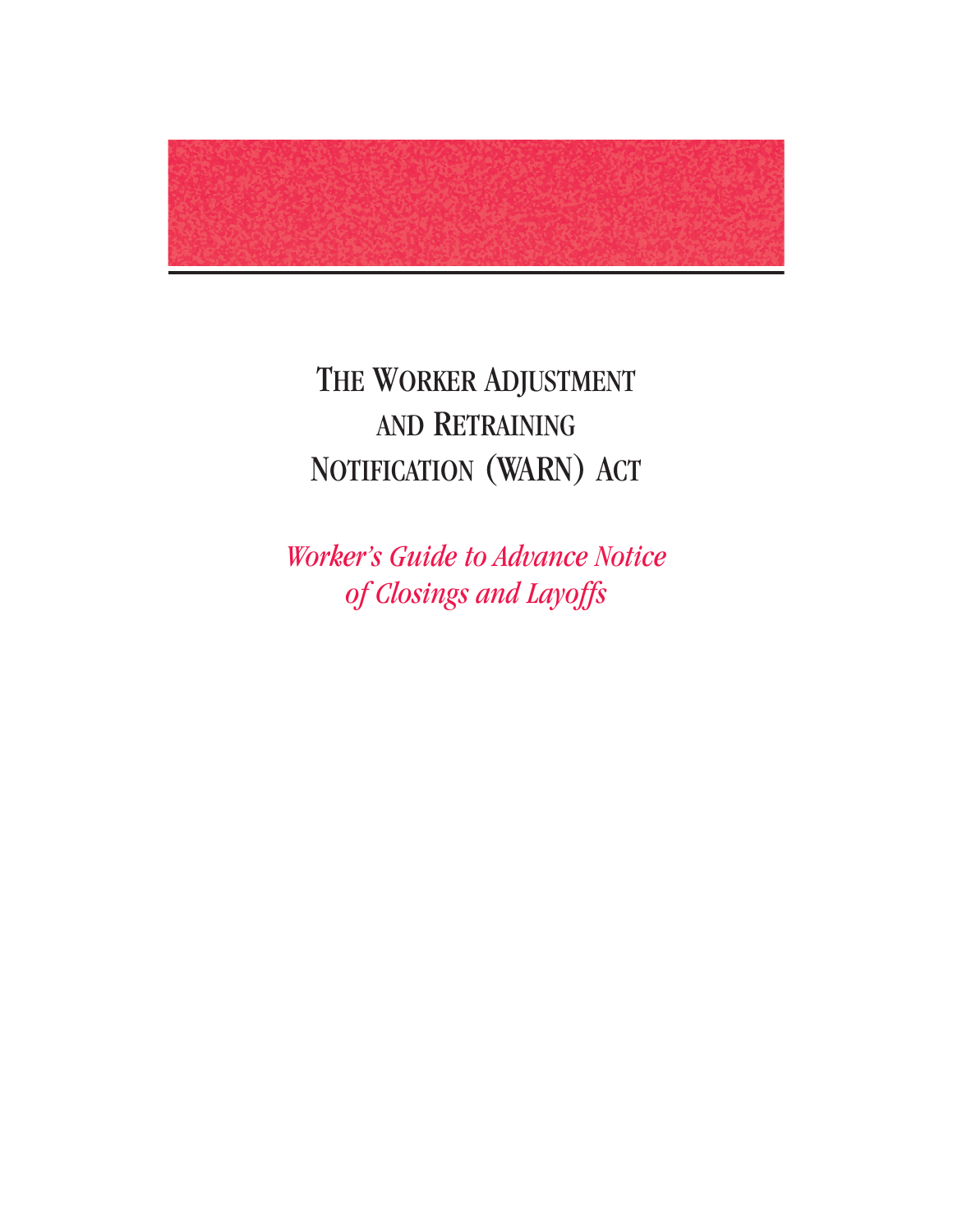

## THE WORKER ADJUSTMENT AND RETRAINING NOTIFICATION (WARN) ACT

*Worker's Guide to Advance Notice of Closings and Layoffs*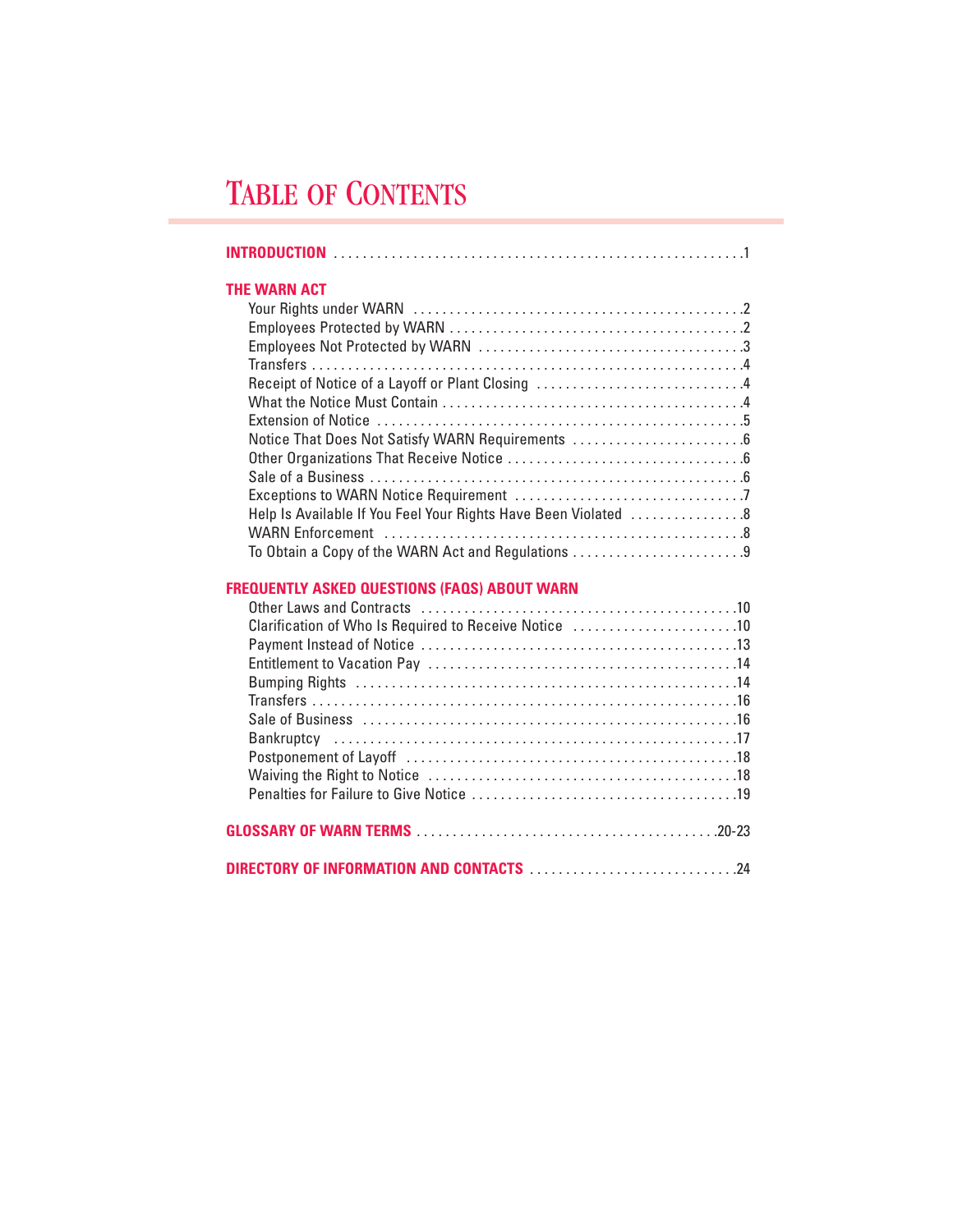## TABLE OF CONTENTS

| <b>THE WARN ACT</b>                                            |
|----------------------------------------------------------------|
|                                                                |
|                                                                |
|                                                                |
|                                                                |
|                                                                |
|                                                                |
|                                                                |
|                                                                |
|                                                                |
|                                                                |
|                                                                |
| Help Is Available If You Feel Your Rights Have Been Violated 8 |
|                                                                |
| To Obtain a Copy of the WARN Act and Regulations 9             |

## **FREQUENTLY ASKED QUESTIONS (FAQS) ABOUT WARN**

| Clarification of Who Is Required to Receive Notice 10                                                                                                                                                             |
|-------------------------------------------------------------------------------------------------------------------------------------------------------------------------------------------------------------------|
|                                                                                                                                                                                                                   |
|                                                                                                                                                                                                                   |
|                                                                                                                                                                                                                   |
|                                                                                                                                                                                                                   |
|                                                                                                                                                                                                                   |
|                                                                                                                                                                                                                   |
| Postponement of Layoff (and all contains and all contains and all contains a large postponement of Layoff (and all contains a large postponement of Layoff (and all contains a large postponement of $\mathbb{R}$ |
|                                                                                                                                                                                                                   |
|                                                                                                                                                                                                                   |
|                                                                                                                                                                                                                   |
| DIRECTORY OF INFORMATION AND CONTACTS 24                                                                                                                                                                          |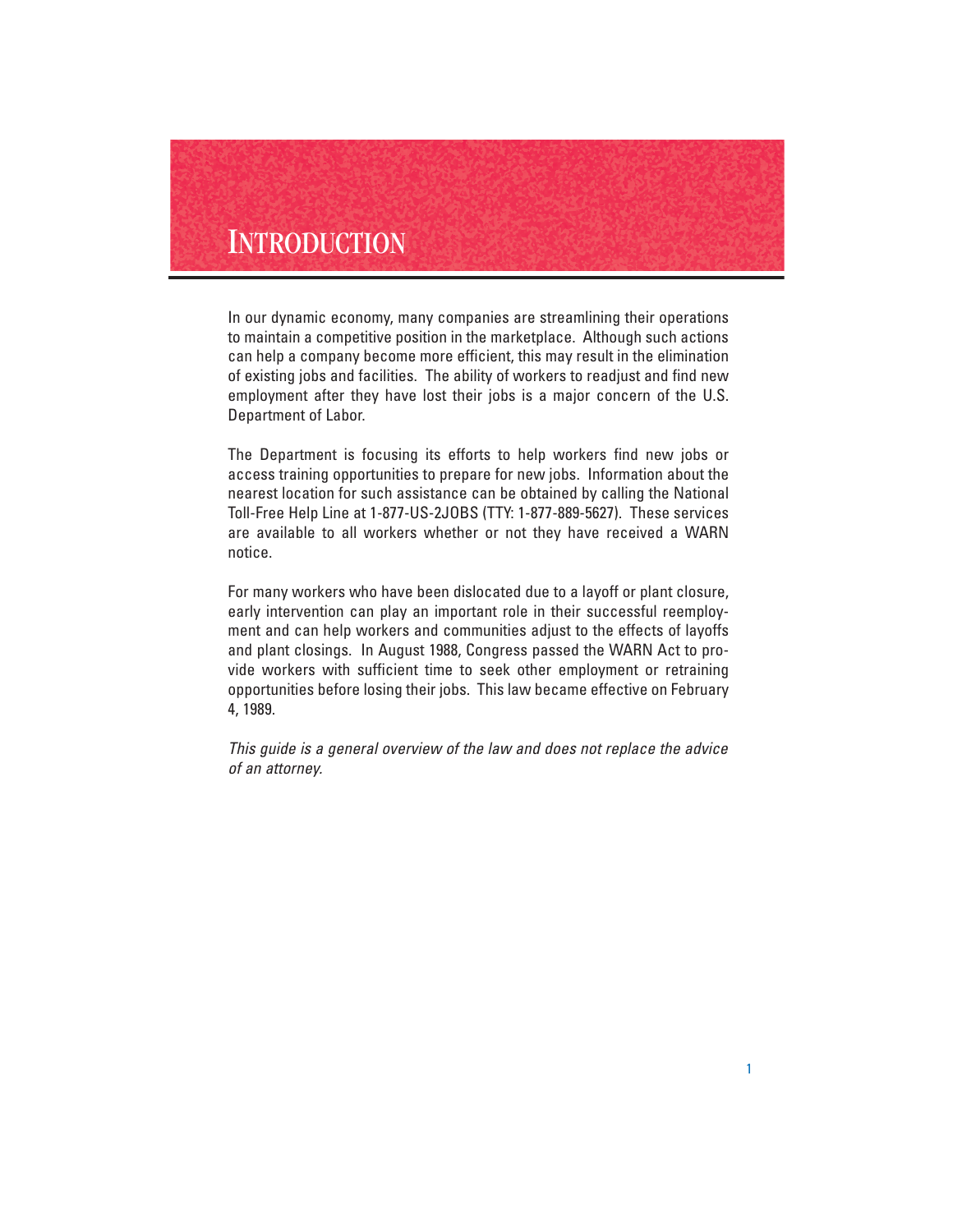## INTRODUCTION

In our dynamic economy, many companies are streamlining their operations to maintain a competitive position in the marketplace. Although such actions can help a company become more efficient, this may result in the elimination of existing jobs and facilities. The ability of workers to readjust and find new employment after they have lost their jobs is a major concern of the U.S. Department of Labor.

The Department is focusing its efforts to help workers find new jobs or access training opportunities to prepare for new jobs. Information about the nearest location for such assistance can be obtained by calling the National Toll-Free Help Line at 1-877-US-2JOBS (TTY: 1-877-889-5627). These services are available to all workers whether or not they have received a WARN notice.

For many workers who have been dislocated due to a layoff or plant closure, early intervention can play an important role in their successful reemployment and can help workers and communities adjust to the effects of layoffs and plant closings. In August 1988, Congress passed the WARN Act to provide workers with sufficient time to seek other employment or retraining opportunities before losing their jobs. This law became effective on February 4, 1989.

This guide is a general overview of the law and does not replace the advice of an attorney.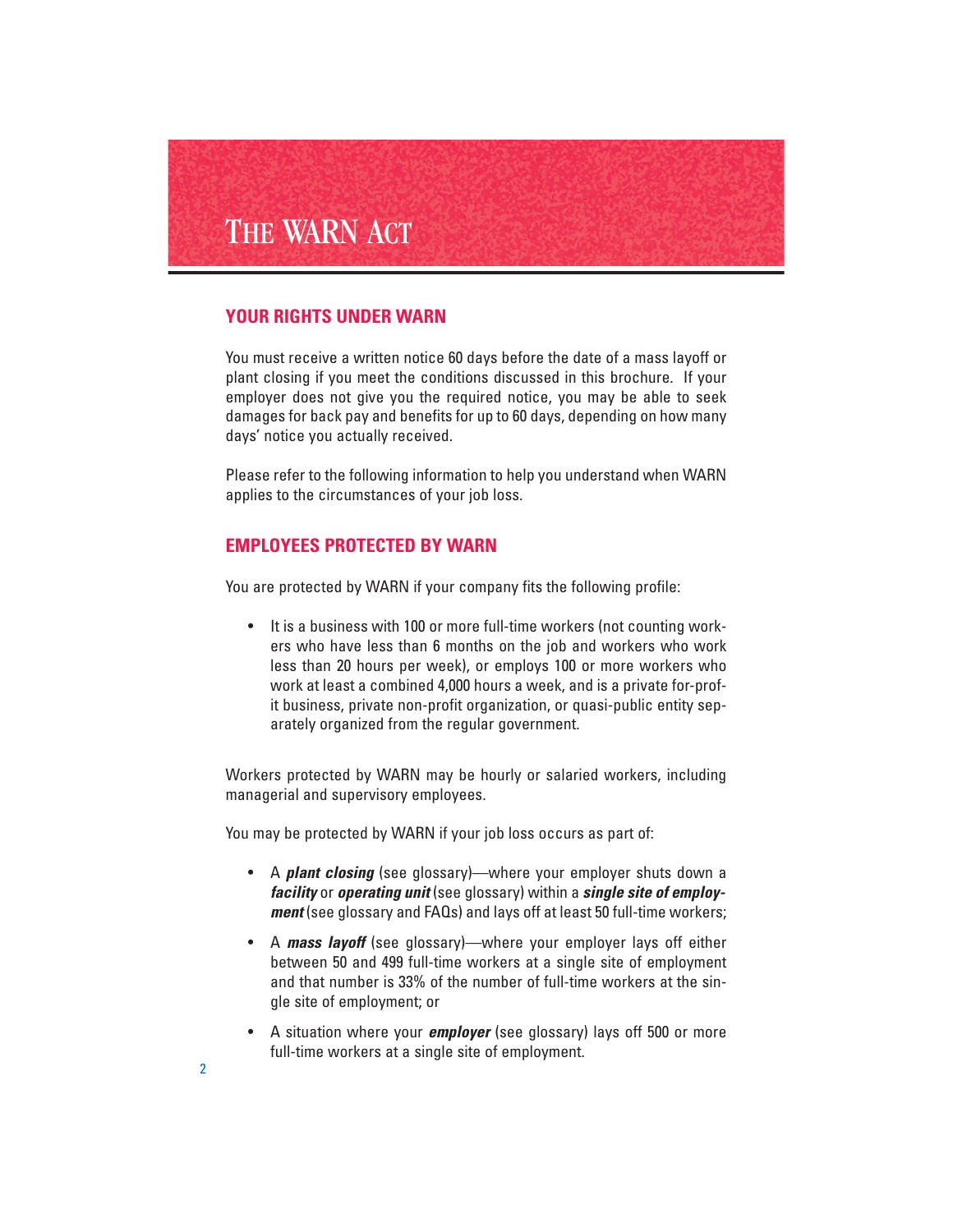## THE WARN ACT

## **YOUR RIGHTS UNDER WARN**

You must receive a written notice 60 days before the date of a mass layoff or plant closing if you meet the conditions discussed in this brochure. If your employer does not give you the required notice, you may be able to seek damages for back pay and benefits for up to 60 days, depending on how many days' notice you actually received.

Please refer to the following information to help you understand when WARN applies to the circumstances of your job loss.

## **EMPLOYEES PROTECTED BY WARN**

You are protected by WARN if your company fits the following profile:

• It is a business with 100 or more full-time workers (not counting workers who have less than 6 months on the job and workers who work less than 20 hours per week), or employs 100 or more workers who work at least a combined 4,000 hours a week, and is a private for-profit business, private non-profit organization, or quasi-public entity separately organized from the regular government.

Workers protected by WARN may be hourly or salaried workers, including managerial and supervisory employees.

You may be protected by WARN if your job loss occurs as part of:

- A *plant closing* (see glossary)—where your employer shuts down a *facility* or *operating unit* (see glossary) within a *single site of employment* (see glossary and FAQs) and lays off at least 50 full-time workers;
- A *mass layoff* (see glossary)—where your employer lays off either between 50 and 499 full-time workers at a single site of employment and that number is 33% of the number of full-time workers at the single site of employment; or
- A situation where your *employer* (see glossary) lays off 500 or more full-time workers at a single site of employment.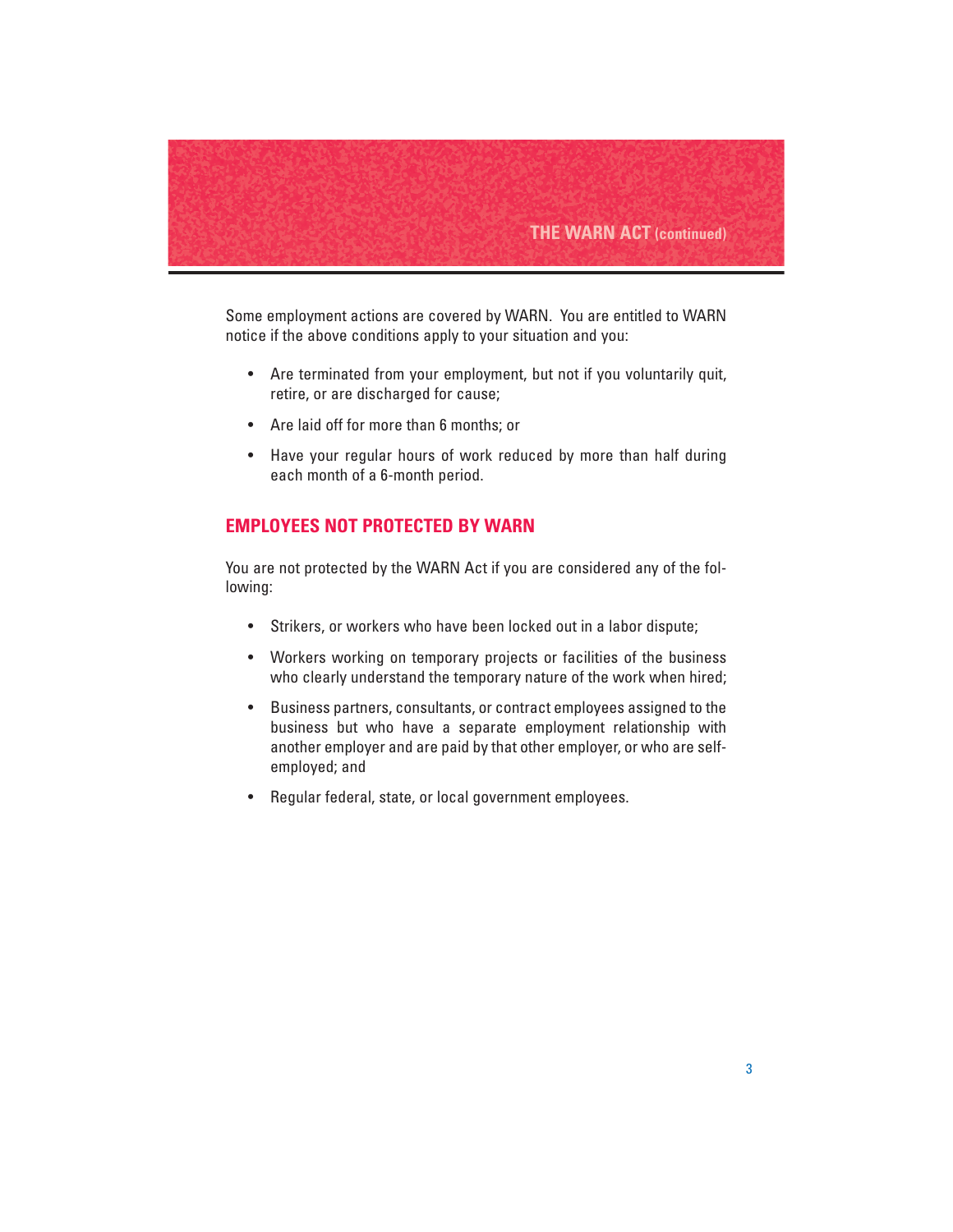

Some employment actions are covered by WARN. You are entitled to WARN notice if the above conditions apply to your situation and you:

- Are terminated from your employment, but not if you voluntarily quit, retire, or are discharged for cause;
- Are laid off for more than 6 months; or
- Have your regular hours of work reduced by more than half during each month of a 6-month period.

## **EMPLOYEES NOT PROTECTED BY WARN**

You are not protected by the WARN Act if you are considered any of the following:

- Strikers, or workers who have been locked out in a labor dispute;
- Workers working on temporary projects or facilities of the business who clearly understand the temporary nature of the work when hired;
- Business partners, consultants, or contract employees assigned to the business but who have a separate employment relationship with another employer and are paid by that other employer, or who are selfemployed; and
- Regular federal, state, or local government employees.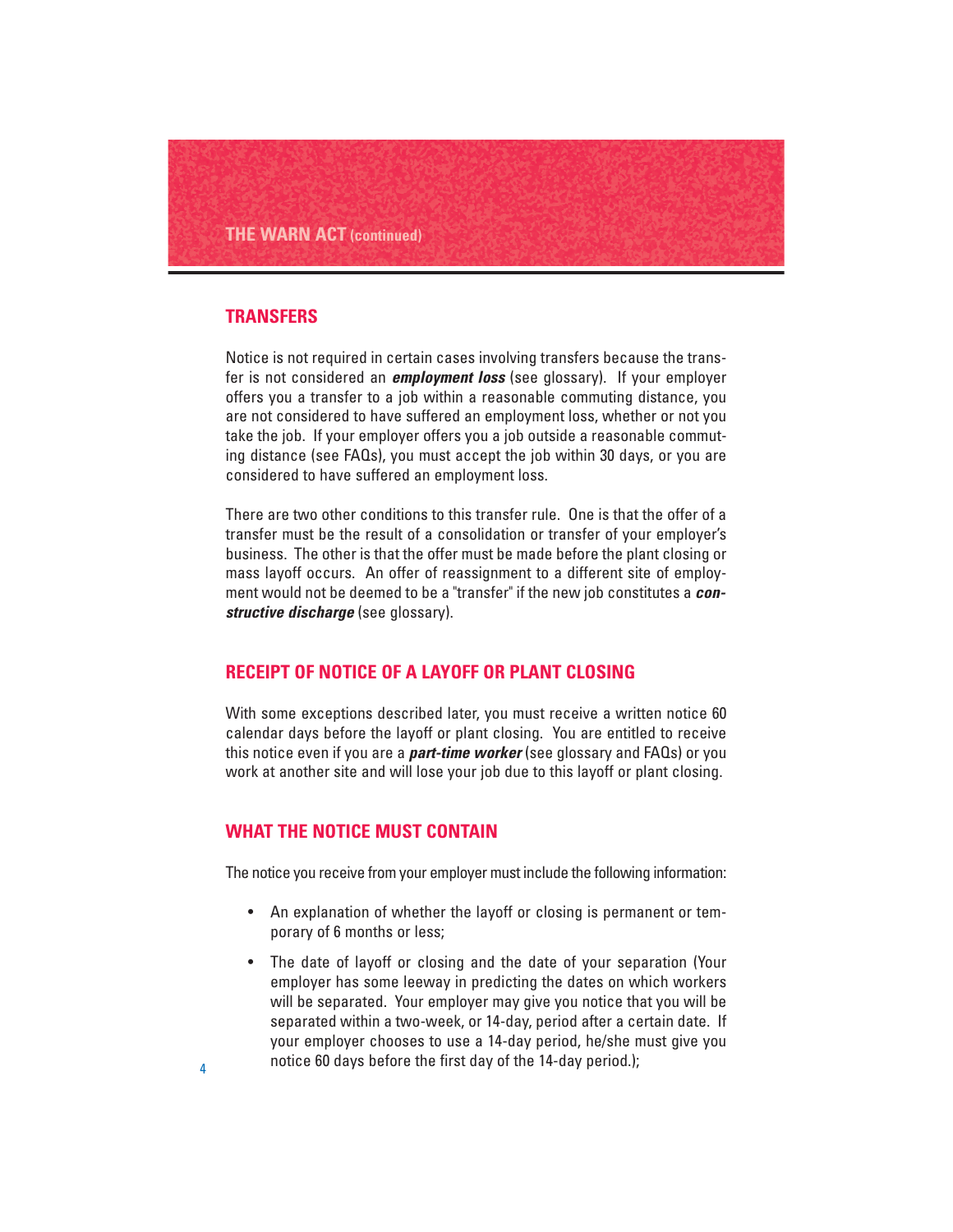## **TRANSFERS**

Notice is not required in certain cases involving transfers because the transfer is not considered an *employment loss* (see glossary). If your employer offers you a transfer to a job within a reasonable commuting distance, you are not considered to have suffered an employment loss, whether or not you take the job. If your employer offers you a job outside a reasonable commuting distance (see FAQs), you must accept the job within 30 days, or you are considered to have suffered an employment loss.

There are two other conditions to this transfer rule. One is that the offer of a transfer must be the result of a consolidation or transfer of your employer's business. The other is that the offer must be made before the plant closing or mass layoff occurs. An offer of reassignment to a different site of employment would not be deemed to be a "transfer" if the new job constitutes a *constructive discharge* (see glossary).

## **RECEIPT OF NOTICE OF A LAYOFF OR PLANT CLOSING**

With some exceptions described later, you must receive a written notice 60 calendar days before the layoff or plant closing. You are entitled to receive this notice even if you are a *part-time worker* (see glossary and FAQs) or you work at another site and will lose your job due to this layoff or plant closing.

## **WHAT THE NOTICE MUST CONTAIN**

The notice you receive from your employer must include the following information:

- An explanation of whether the layoff or closing is permanent or temporary of 6 months or less;
- The date of layoff or closing and the date of your separation (Your employer has some leeway in predicting the dates on which workers will be separated. Your employer may give you notice that you will be separated within a two-week, or 14-day, period after a certain date. If your employer chooses to use a 14-day period, he/she must give you notice 60 days before the first day of the 14-day period.);

4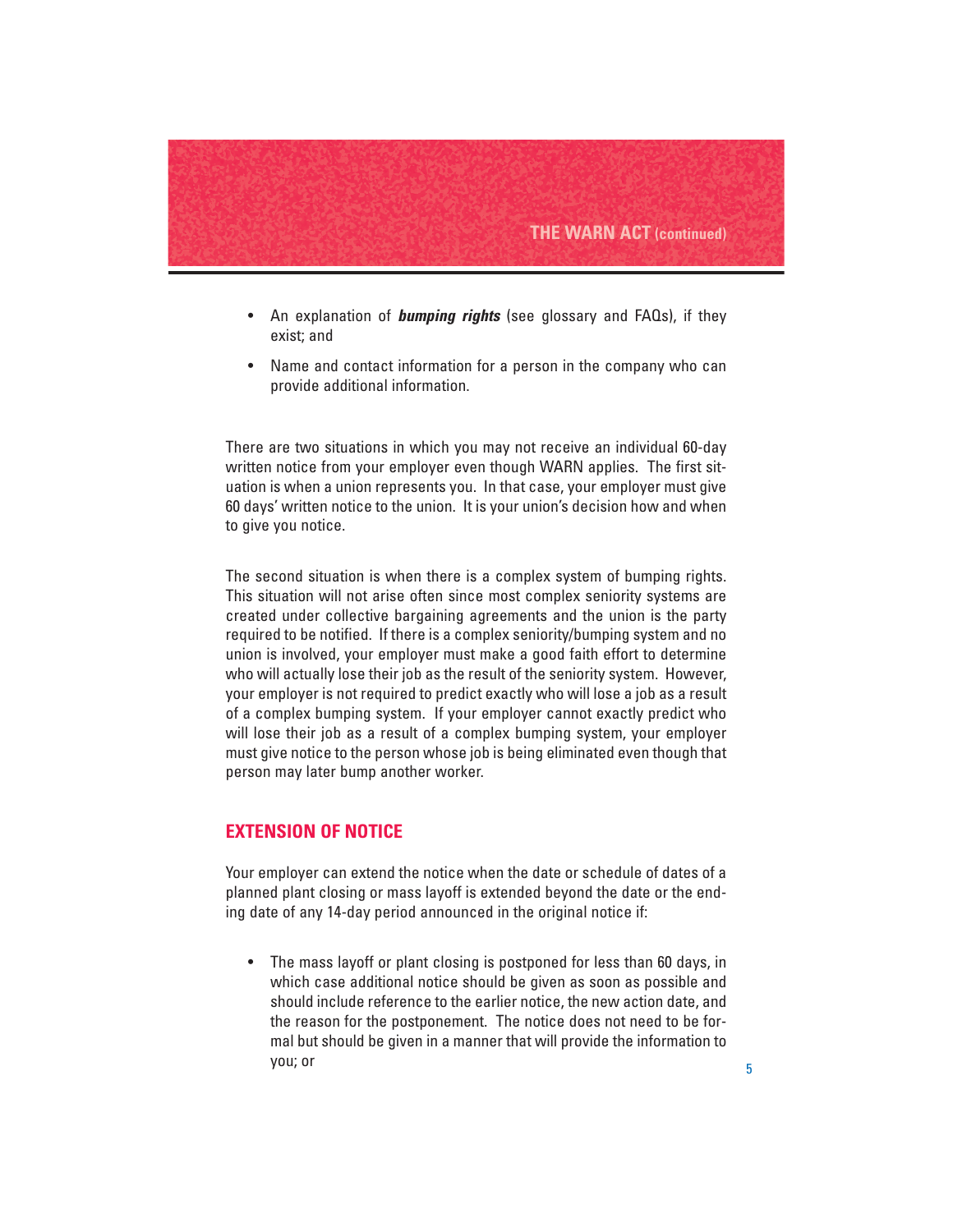

- An explanation of *bumping rights* (see glossary and FAQs), if they exist; and
- Name and contact information for a person in the company who can provide additional information.

There are two situations in which you may not receive an individual 60-day written notice from your employer even though WARN applies. The first situation is when a union represents you. In that case, your employer must give 60 days' written notice to the union. It is your union's decision how and when to give you notice.

The second situation is when there is a complex system of bumping rights. This situation will not arise often since most complex seniority systems are created under collective bargaining agreements and the union is the party required to be notified. If there is a complex seniority/bumping system and no union is involved, your employer must make a good faith effort to determine who will actually lose their job as the result of the seniority system. However, your employer is not required to predict exactly who will lose a job as a result of a complex bumping system. If your employer cannot exactly predict who will lose their job as a result of a complex bumping system, your employer must give notice to the person whose job is being eliminated even though that person may later bump another worker.

## **EXTENSION OF NOTICE**

Your employer can extend the notice when the date or schedule of dates of a planned plant closing or mass layoff is extended beyond the date or the ending date of any 14-day period announced in the original notice if:

• The mass layoff or plant closing is postponed for less than 60 days, in which case additional notice should be given as soon as possible and should include reference to the earlier notice, the new action date, and the reason for the postponement. The notice does not need to be formal but should be given in a manner that will provide the information to you; or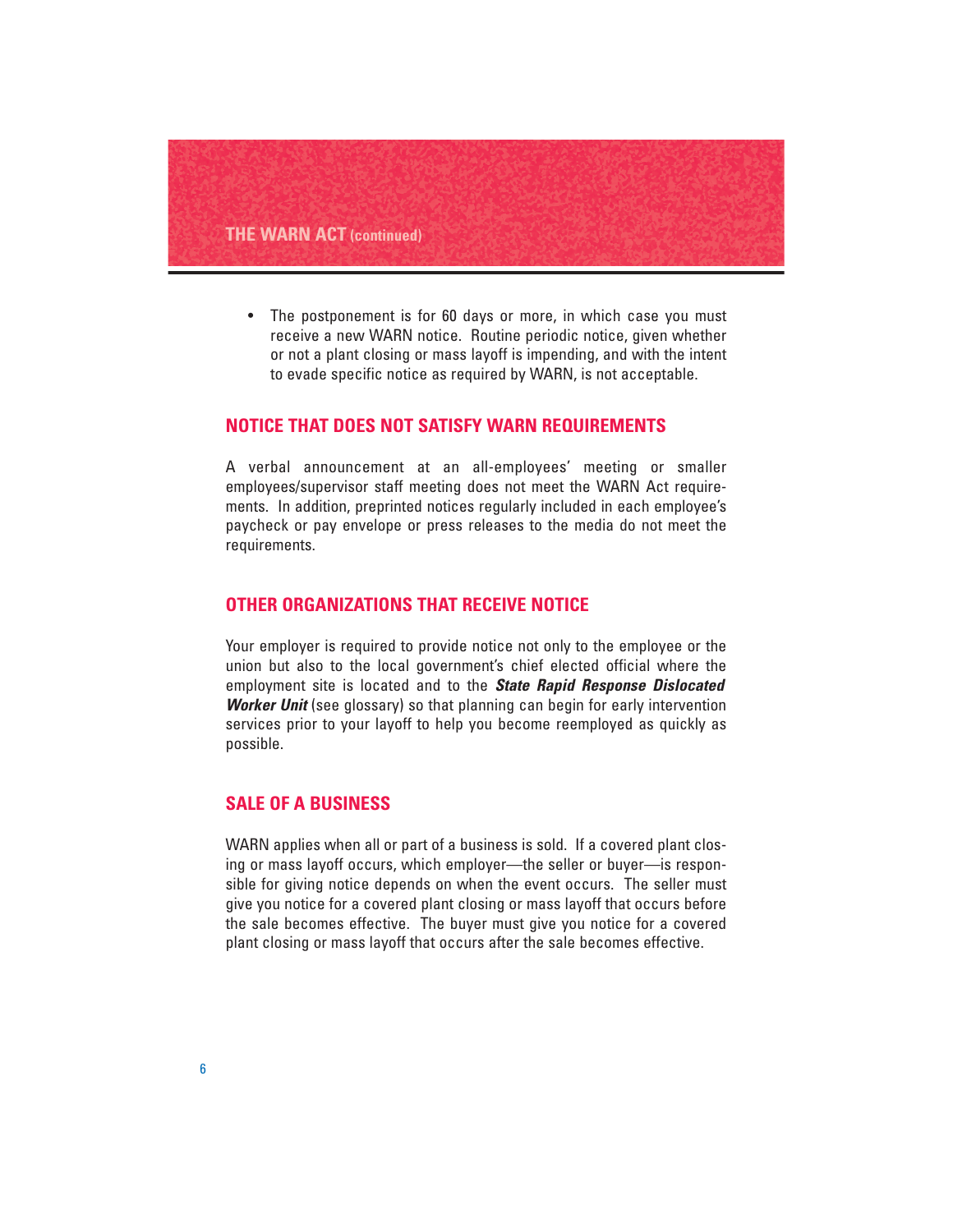• The postponement is for 60 days or more, in which case you must receive a new WARN notice. Routine periodic notice, given whether or not a plant closing or mass layoff is impending, and with the intent to evade specific notice as required by WARN, is not acceptable.

## **NOTICE THAT DOES NOT SATISFY WARN REQUIREMENTS**

A verbal announcement at an all-employees' meeting or smaller employees/supervisor staff meeting does not meet the WARN Act requirements. In addition, preprinted notices regularly included in each employee's paycheck or pay envelope or press releases to the media do not meet the requirements.

### **OTHER ORGANIZATIONS THAT RECEIVE NOTICE**

Your employer is required to provide notice not only to the employee or the union but also to the local government's chief elected official where the employment site is located and to the *State Rapid Response Dislocated Worker Unit* (see glossary) so that planning can begin for early intervention services prior to your layoff to help you become reemployed as quickly as possible.

## **SALE OF A BUSINESS**

WARN applies when all or part of a business is sold. If a covered plant closing or mass layoff occurs, which employer—the seller or buyer—is responsible for giving notice depends on when the event occurs. The seller must give you notice for a covered plant closing or mass layoff that occurs before the sale becomes effective. The buyer must give you notice for a covered plant closing or mass layoff that occurs after the sale becomes effective.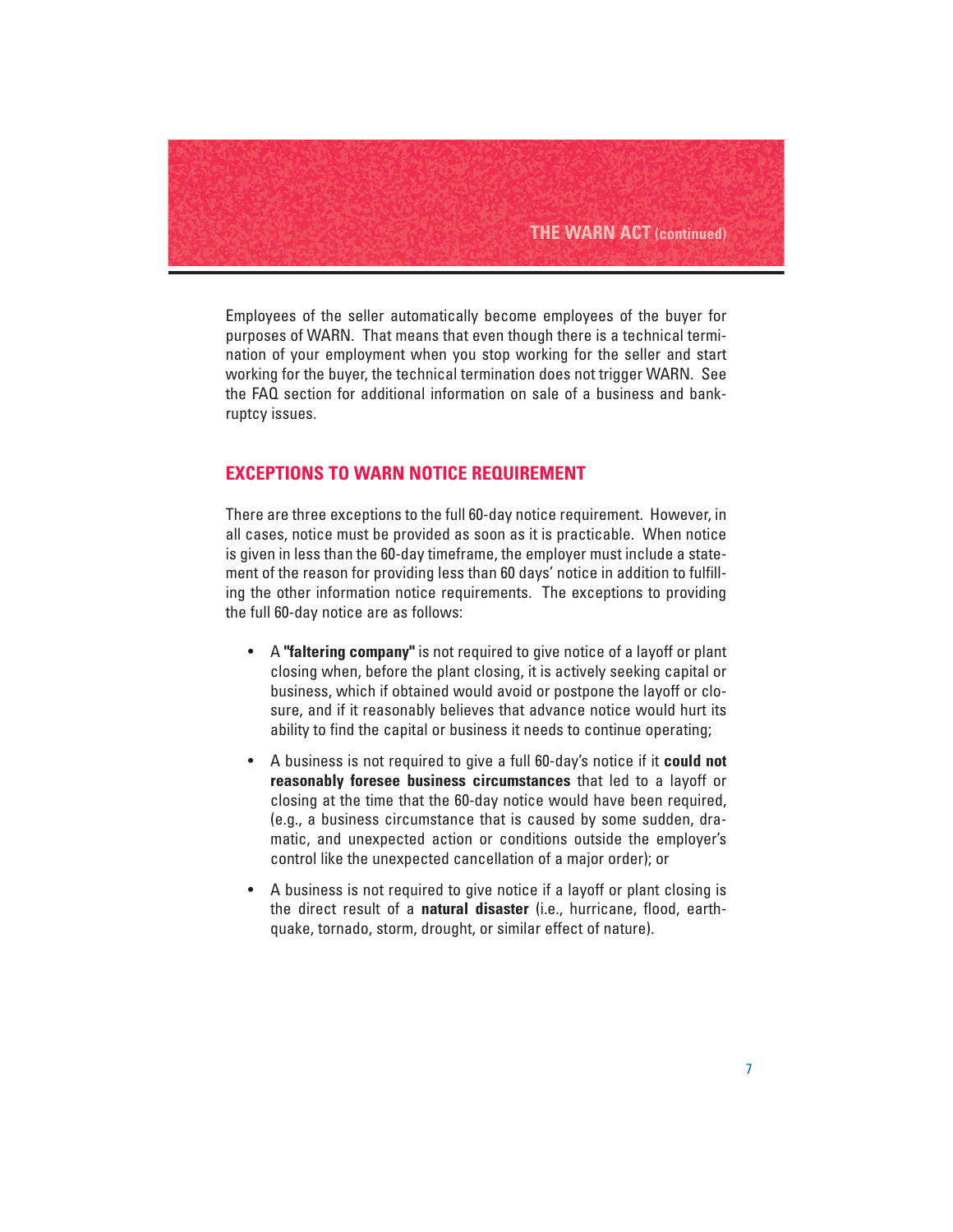Employees of the seller automatically become employees of the buyer for purposes of WARN. That means that even though there is a technical termination of your employment when you stop working for the seller and start working for the buyer, the technical termination does not trigger WARN. See the FAQ section for additional information on sale of a business and bankruptcy issues.

## **EXCEPTIONS TO WARN NOTICE REQUIREMENT**

There are three exceptions to the full 60-day notice requirement. However, in all cases, notice must be provided as soon as it is practicable. When notice is given in less than the 60-day timeframe, the employer must include a statement of the reason for providing less than 60 days' notice in addition to fulfilling the other information notice requirements. The exceptions to providing the full 60-day notice are as follows:

- A **"faltering company"** is not required to give notice of a layoff or plant closing when, before the plant closing, it is actively seeking capital or business, which if obtained would avoid or postpone the layoff or closure, and if it reasonably believes that advance notice would hurt its ability to find the capital or business it needs to continue operating;
- A business is not required to give a full 60-day's notice if it **could not reasonably foresee business circumstances** that led to a layoff or closing at the time that the 60-day notice would have been required, (e.g., a business circumstance that is caused by some sudden, dramatic, and unexpected action or conditions outside the employer's control like the unexpected cancellation of a major order); or
- A business is not required to give notice if a layoff or plant closing is the direct result of a **natural disaster** (i.e., hurricane, flood, earthquake, tornado, storm, drought, or similar effect of nature).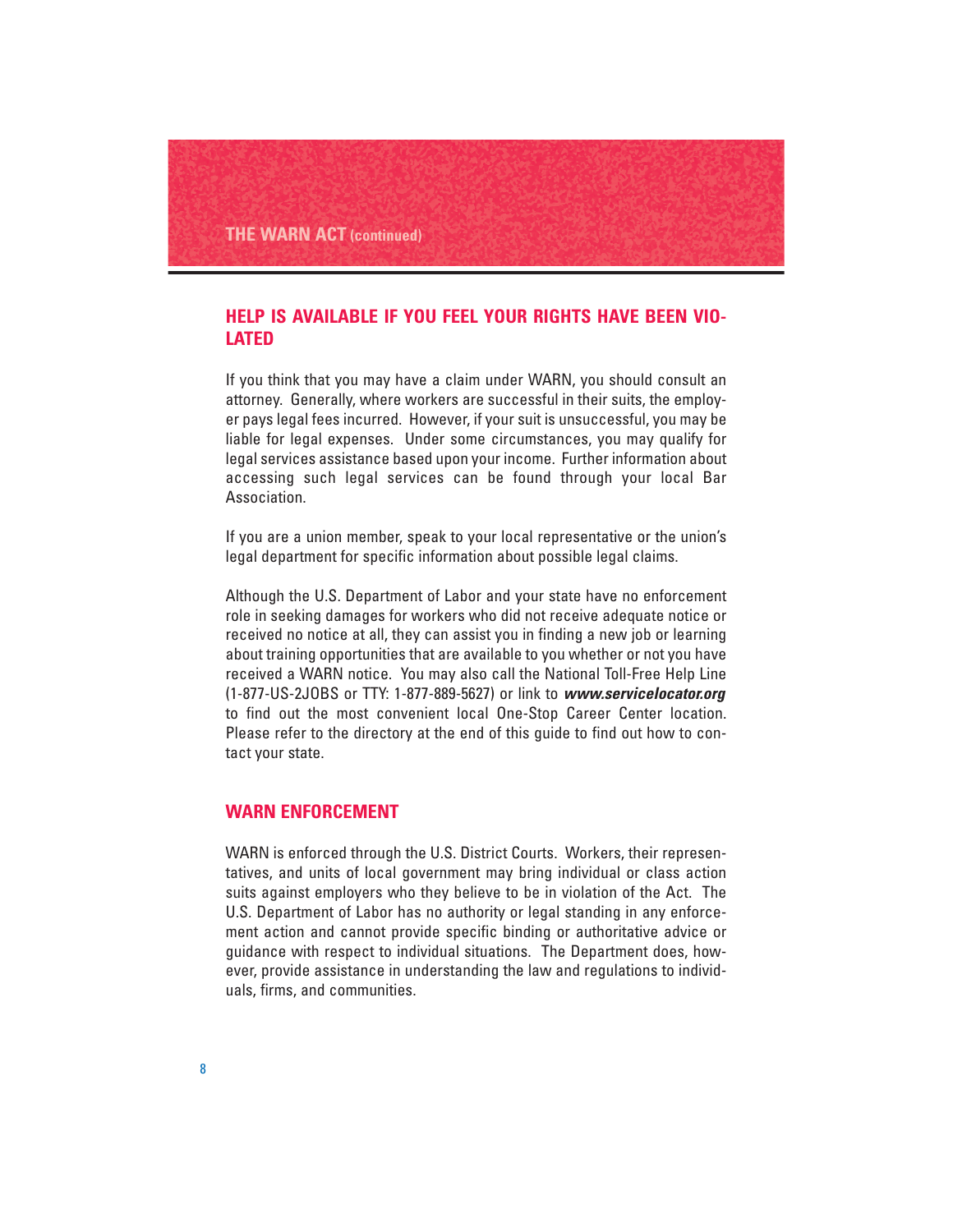## **HELP IS AVAILABLE IF YOU FEEL YOUR RIGHTS HAVE BEEN VIO-LATED**

If you think that you may have a claim under WARN, you should consult an attorney. Generally, where workers are successful in their suits, the employer pays legal fees incurred. However, if your suit is unsuccessful, you may be liable for legal expenses. Under some circumstances, you may qualify for legal services assistance based upon your income. Further information about accessing such legal services can be found through your local Bar Association.

If you are a union member, speak to your local representative or the union's legal department for specific information about possible legal claims.

Although the U.S. Department of Labor and your state have no enforcement role in seeking damages for workers who did not receive adequate notice or received no notice at all, they can assist you in finding a new job or learning about training opportunities that are available to you whether or not you have received a WARN notice. You may also call the National Toll-Free Help Line (1-877-US-2JOBS or TTY: 1-877-889-5627) or link to *www.servicelocator.org* to find out the most convenient local One-Stop Career Center location. Please refer to the directory at the end of this guide to find out how to contact your state.

## **WARN ENFORCEMENT**

WARN is enforced through the U.S. District Courts. Workers, their representatives, and units of local government may bring individual or class action suits against employers who they believe to be in violation of the Act. The U.S. Department of Labor has no authority or legal standing in any enforcement action and cannot provide specific binding or authoritative advice or guidance with respect to individual situations. The Department does, however, provide assistance in understanding the law and regulations to individuals, firms, and communities.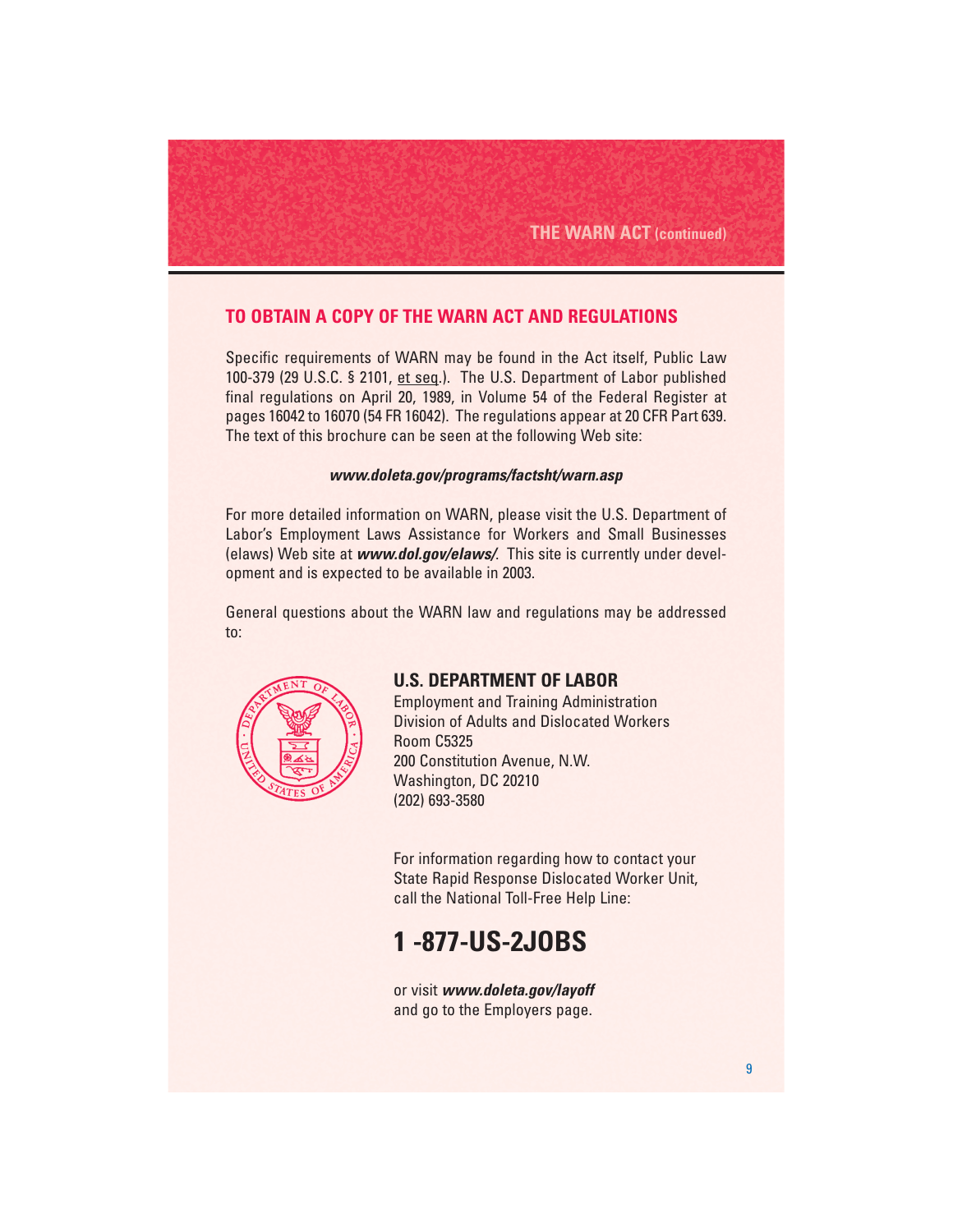## **TO OBTAIN A COPY OF THE WARN ACT AND REGULATIONS**

Specific requirements of WARN may be found in the Act itself, Public Law 100-379 (29 U.S.C. § 2101, et seq.). The U.S. Department of Labor published final regulations on April 20, 1989, in Volume 54 of the Federal Register at pages 16042 to 16070 (54 FR 16042). The regulations appear at 20 CFR Part 639. The text of this brochure can be seen at the following Web site:

#### *www.doleta.gov/programs/factsht/warn.asp*

For more detailed information on WARN, please visit the U.S. Department of Labor's Employment Laws Assistance for Workers and Small Businesses (elaws) Web site at *www.dol.gov/elaws/*. This site is currently under development and is expected to be available in 2003.

General questions about the WARN law and regulations may be addressed to:



## **U.S. DEPARTMENT OF LABOR**

Employment and Training Administration Division of Adults and Dislocated Workers Room C5325 200 Constitution Avenue, N.W. Washington, DC 20210 (202) 693-3580

For information regarding how to contact your State Rapid Response Dislocated Worker Unit, call the National Toll-Free Help Line:

## **1 -877-US-2JOBS**

or visit *www.doleta.gov/layoff*  and go to the Employers page.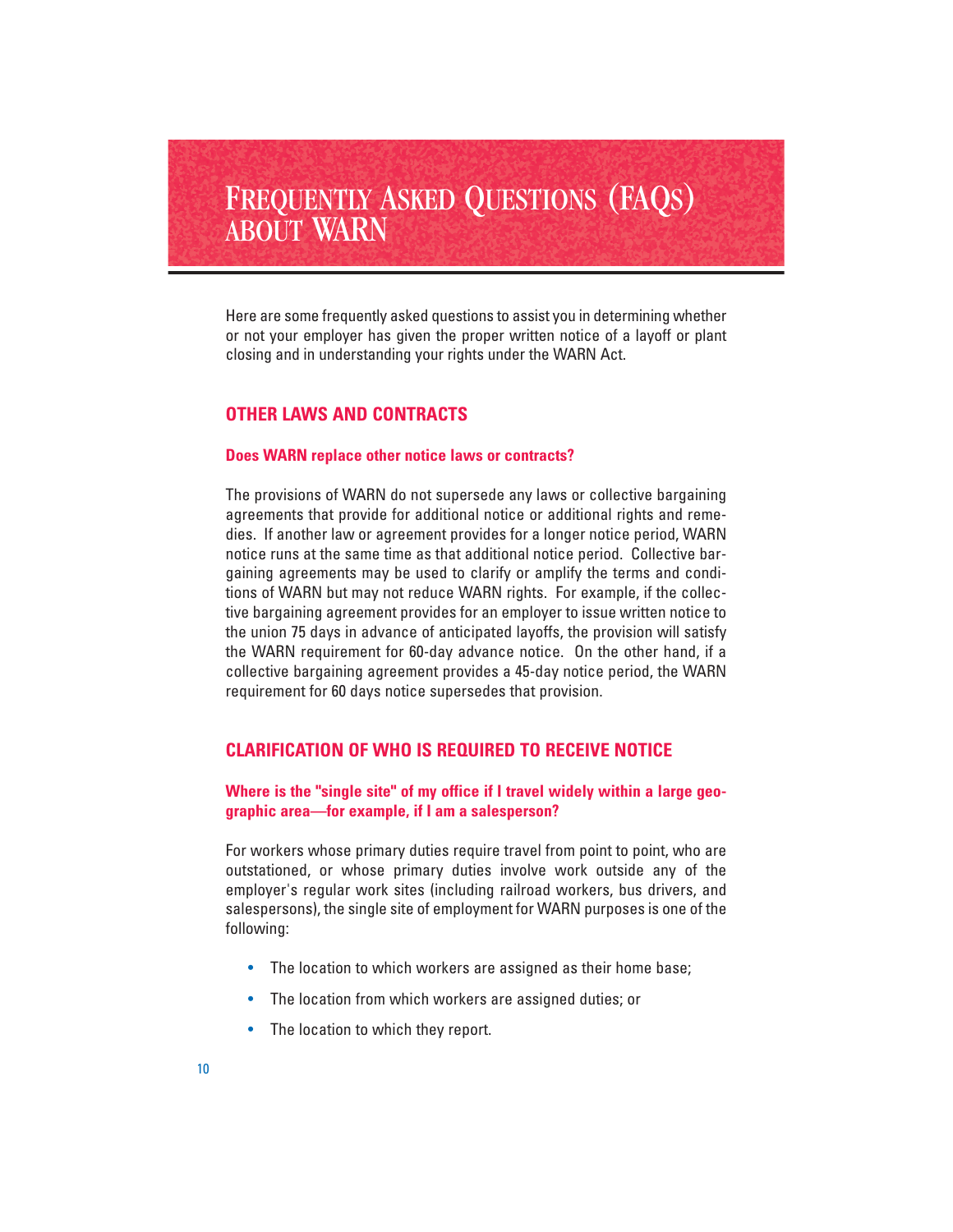## FREQUENTLY ASKED QUESTIONS (FAQS) ABOUT WARN

Here are some frequently asked questions to assist you in determining whether or not your employer has given the proper written notice of a layoff or plant closing and in understanding your rights under the WARN Act.

## **OTHER LAWS AND CONTRACTS**

#### **Does WARN replace other notice laws or contracts?**

The provisions of WARN do not supersede any laws or collective bargaining agreements that provide for additional notice or additional rights and remedies. If another law or agreement provides for a longer notice period, WARN notice runs at the same time as that additional notice period. Collective bargaining agreements may be used to clarify or amplify the terms and conditions of WARN but may not reduce WARN rights. For example, if the collective bargaining agreement provides for an employer to issue written notice to the union 75 days in advance of anticipated layoffs, the provision will satisfy the WARN requirement for 60-day advance notice. On the other hand, if a collective bargaining agreement provides a 45-day notice period, the WARN requirement for 60 days notice supersedes that provision.

## **CLARIFICATION OF WHO IS REQUIRED TO RECEIVE NOTICE**

### **Where is the "single site" of my office if I travel widely within a large geographic area—for example, if I am a salesperson?**

For workers whose primary duties require travel from point to point, who are outstationed, or whose primary duties involve work outside any of the employer's regular work sites (including railroad workers, bus drivers, and salespersons), the single site of employment for WARN purposes is one of the following:

- The location to which workers are assigned as their home base;
- The location from which workers are assigned duties; or
- The location to which they report.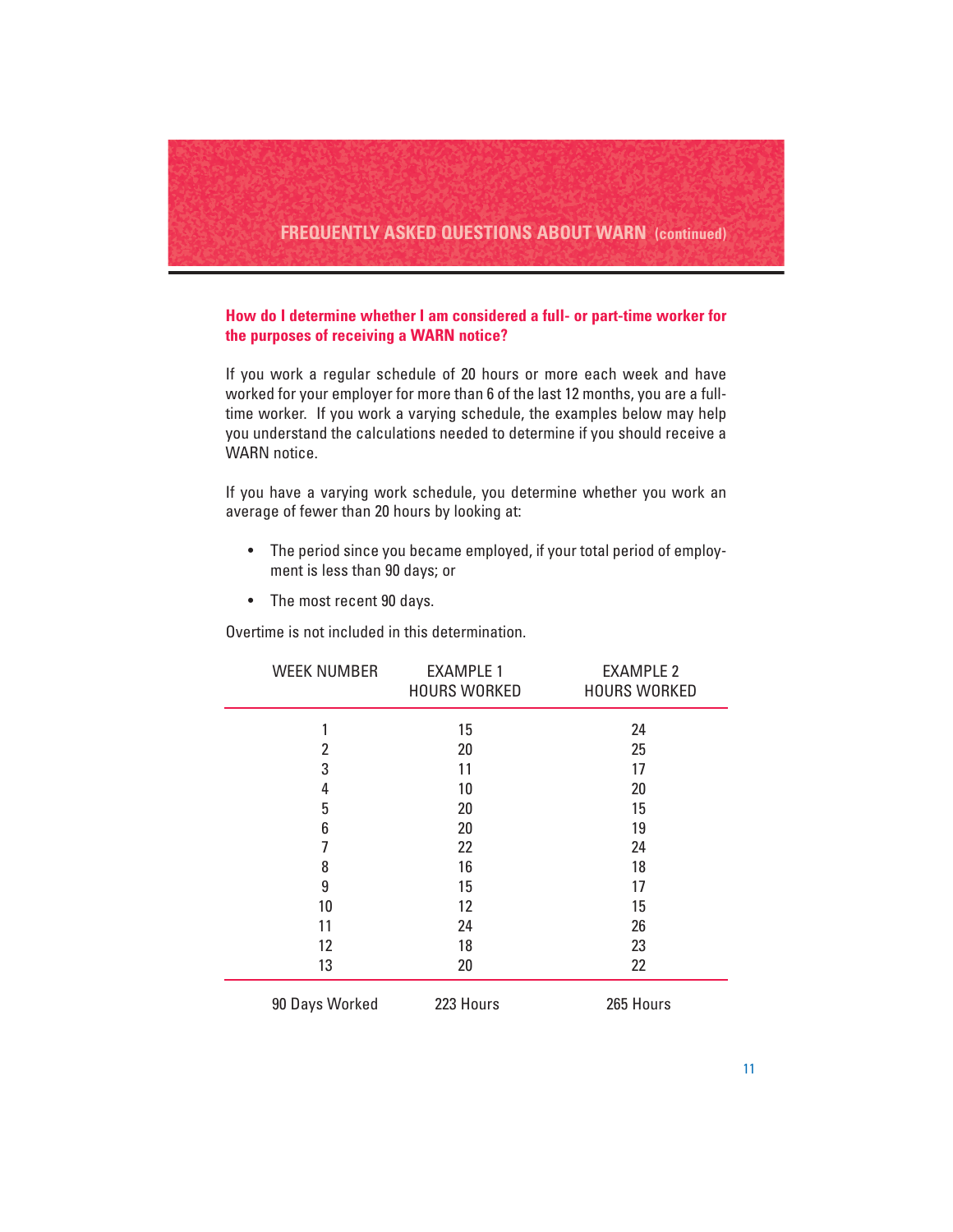## **FREQUENTLY ASKED QUESTIONS ABOUT WARN (continued)**

#### **How do I determine whether I am considered a full- or part-time worker for the purposes of receiving a WARN notice?**

If you work a regular schedule of 20 hours or more each week and have worked for your employer for more than 6 of the last 12 months, you are a fulltime worker. If you work a varying schedule, the examples below may help you understand the calculations needed to determine if you should receive a WARN notice.

If you have a varying work schedule, you determine whether you work an average of fewer than 20 hours by looking at:

- The period since you became employed, if your total period of employment is less than 90 days; or
- The most recent 90 days.

Overtime is not included in this determination.

| <b>WEEK NUMBER</b> | <b>EXAMPLE 1</b><br><b>HOURS WORKED</b> | <b>EXAMPLE 2</b><br><b>HOURS WORKED</b> |
|--------------------|-----------------------------------------|-----------------------------------------|
| 1                  | 15                                      | 24                                      |
| $\overline{2}$     | 20                                      | 25                                      |
| 3                  | 11                                      | 17                                      |
| 4                  | 10                                      | 20                                      |
| 5                  | 20                                      | 15                                      |
| 6                  | 20                                      | 19                                      |
| 7                  | 22                                      | 24                                      |
| 8                  | 16                                      | 18                                      |
| 9                  | 15                                      | 17                                      |
| 10                 | 12                                      | 15                                      |
| 11                 | 24                                      | 26                                      |
| 12                 | 18                                      | 23                                      |
| 13                 | 20                                      | 22                                      |
| 90 Days Worked     | 223 Hours                               | 265 Hours                               |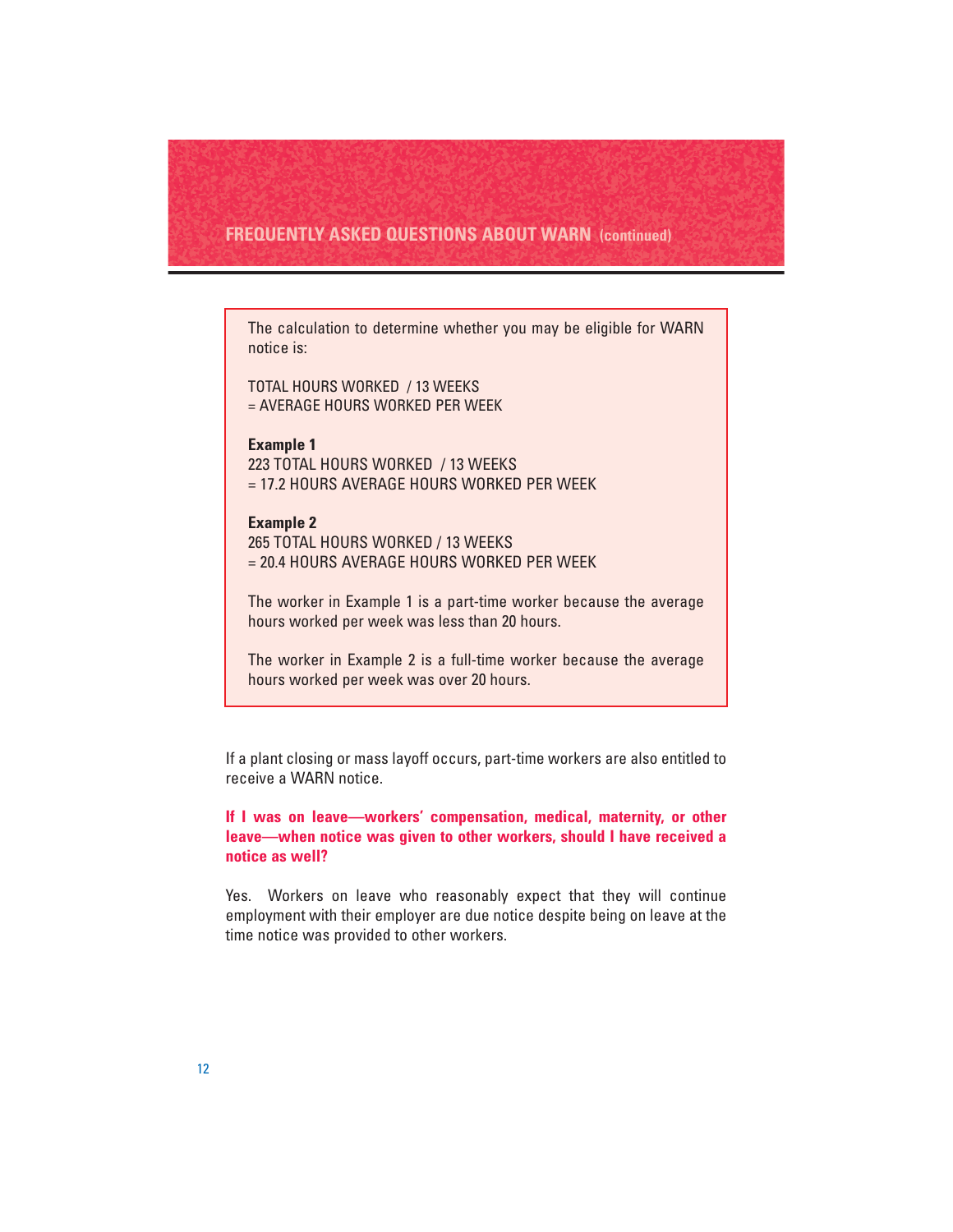## **FREQUENTLY ASKED QUESTIONS ABOUT WARN (continued)**

The calculation to determine whether you may be eligible for WARN notice is:

TOTAL HOURS WORKED / 13 WEEKS = AVERAGE HOURS WORKED PER WEEK

**Example 1** 223 TOTAL HOURS WORKED / 13 WEEKS = 17.2 HOURS AVERAGE HOURS WORKED PER WEEK

#### **Example 2**

265 TOTAL HOURS WORKED / 13 WEEKS = 20.4 HOURS AVERAGE HOURS WORKED PER WEEK

The worker in Example 1 is a part-time worker because the average hours worked per week was less than 20 hours.

The worker in Example 2 is a full-time worker because the average hours worked per week was over 20 hours.

If a plant closing or mass layoff occurs, part-time workers are also entitled to receive a WARN notice.

**If I was on leave—workers' compensation, medical, maternity, or other leave—when notice was given to other workers, should I have received a notice as well?** 

Yes. Workers on leave who reasonably expect that they will continue employment with their employer are due notice despite being on leave at the time notice was provided to other workers.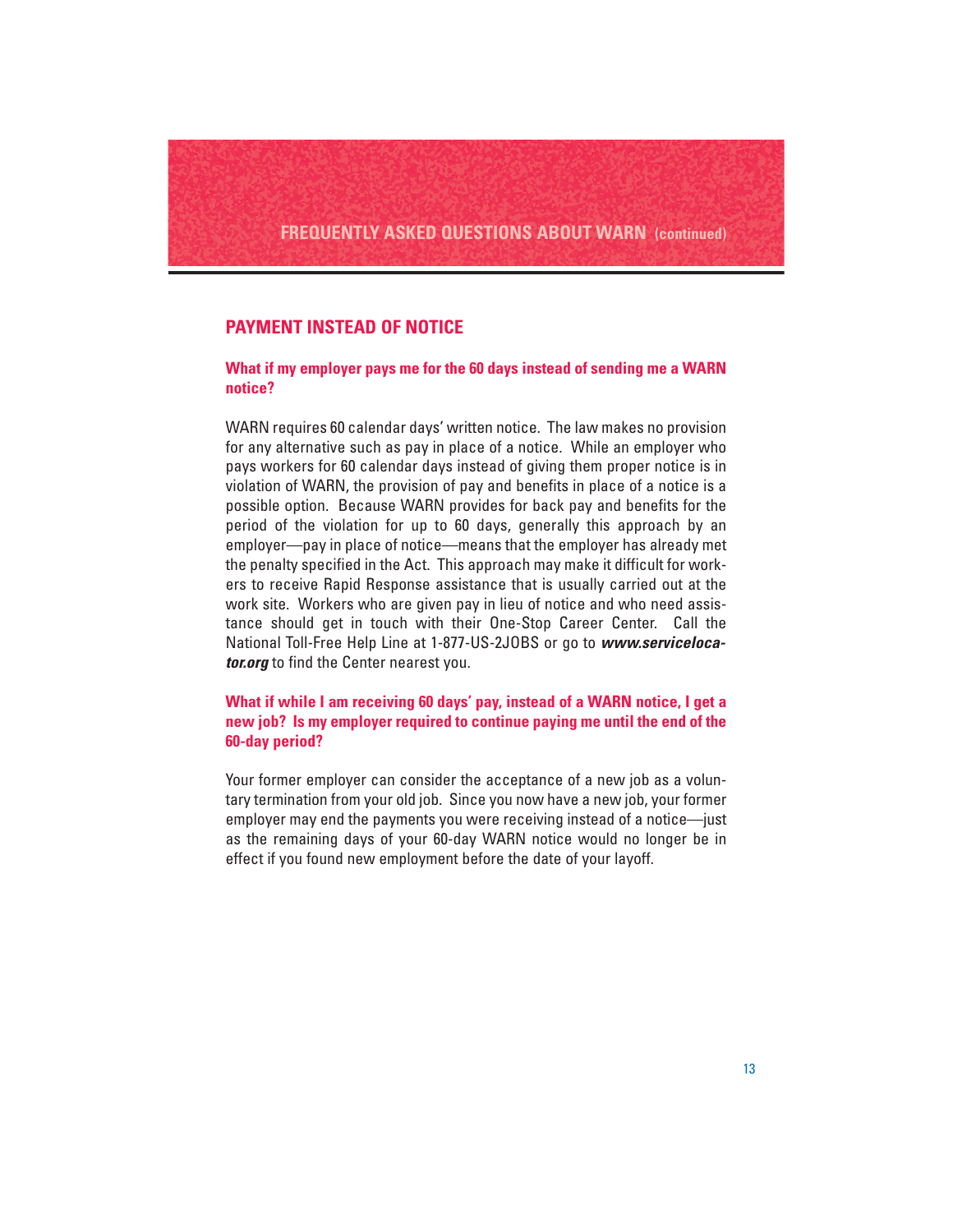## **PAYMENT INSTEAD OF NOTICE**

#### **What if my employer pays me for the 60 days instead of sending me a WARN notice?**

WARN requires 60 calendar days' written notice. The law makes no provision for any alternative such as pay in place of a notice. While an employer who pays workers for 60 calendar days instead of giving them proper notice is in violation of WARN, the provision of pay and benefits in place of a notice is a possible option. Because WARN provides for back pay and benefits for the period of the violation for up to 60 days, generally this approach by an employer—pay in place of notice—means that the employer has already met the penalty specified in the Act. This approach may make it difficult for workers to receive Rapid Response assistance that is usually carried out at the work site. Workers who are given pay in lieu of notice and who need assistance should get in touch with their One-Stop Career Center. Call the National Toll-Free Help Line at 1-877-US-2JOBS or go to *www.servicelocator.org* to find the Center nearest you.

## **What if while I am receiving 60 days' pay, instead of a WARN notice, I get a new job? Is my employer required to continue paying me until the end of the 60-day period?**

Your former employer can consider the acceptance of a new job as a voluntary termination from your old job. Since you now have a new job, your former employer may end the payments you were receiving instead of a notice—just as the remaining days of your 60-day WARN notice would no longer be in effect if you found new employment before the date of your layoff.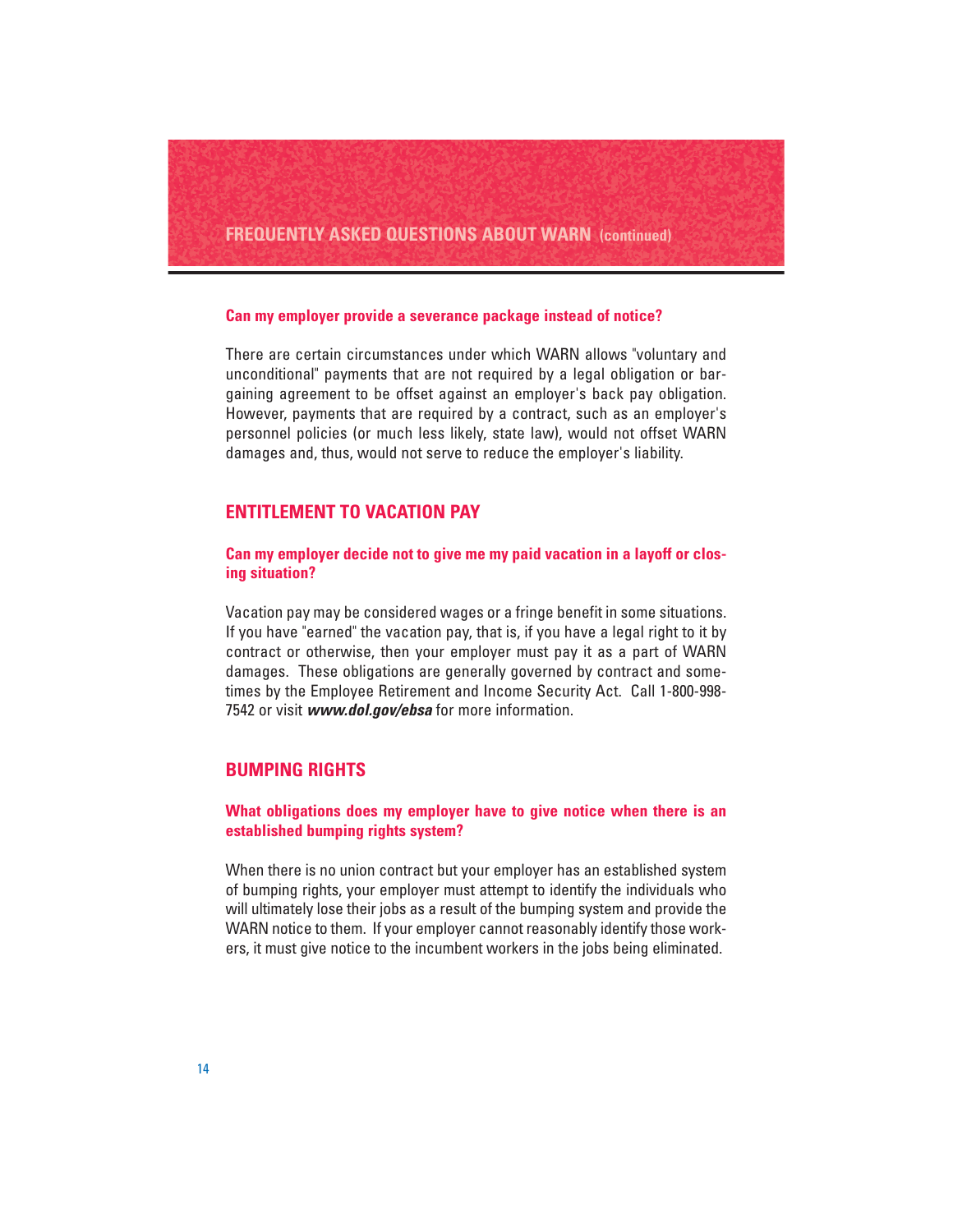## **FREQUENTLY ASKED QUESTIONS ABOUT WARN (continued)**

#### **Can my employer provide a severance package instead of notice?**

There are certain circumstances under which WARN allows "voluntary and unconditional" payments that are not required by a legal obligation or bargaining agreement to be offset against an employer's back pay obligation. However, payments that are required by a contract, such as an employer's personnel policies (or much less likely, state law), would not offset WARN damages and, thus, would not serve to reduce the employer's liability.

## **ENTITLEMENT TO VACATION PAY**

**Can my employer decide not to give me my paid vacation in a layoff or closing situation?**

Vacation pay may be considered wages or a fringe benefit in some situations. If you have "earned" the vacation pay, that is, if you have a legal right to it by contract or otherwise, then your employer must pay it as a part of WARN damages. These obligations are generally governed by contract and sometimes by the Employee Retirement and Income Security Act. Call 1-800-998- 7542 or visit *www.dol.gov/ebsa* for more information.

## **BUMPING RIGHTS**

#### **What obligations does my employer have to give notice when there is an established bumping rights system?**

When there is no union contract but your employer has an established system of bumping rights, your employer must attempt to identify the individuals who will ultimately lose their jobs as a result of the bumping system and provide the WARN notice to them. If your employer cannot reasonably identify those workers, it must give notice to the incumbent workers in the jobs being eliminated.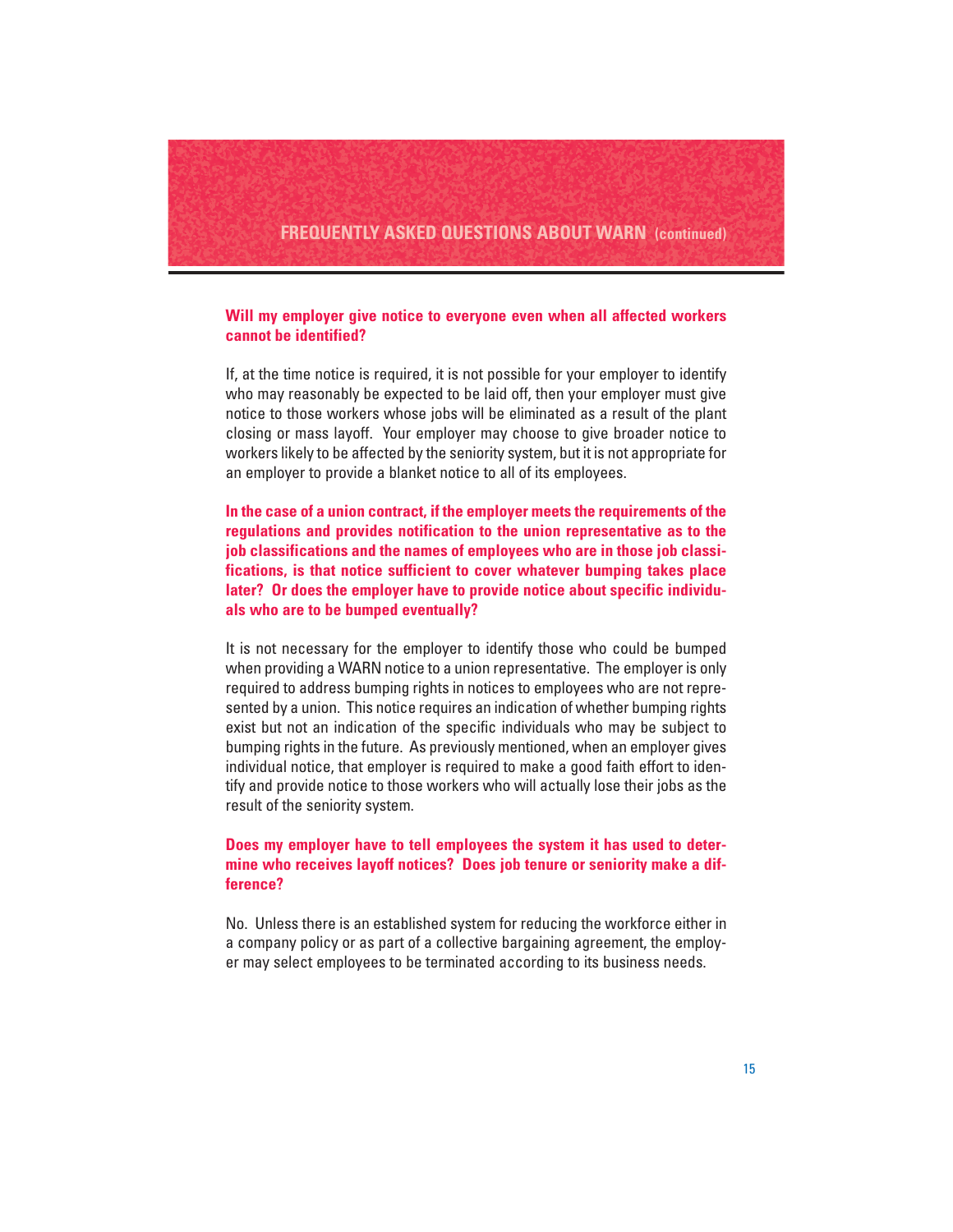#### **Will my employer give notice to everyone even when all affected workers cannot be identified?**

If, at the time notice is required, it is not possible for your employer to identify who may reasonably be expected to be laid off, then your employer must give notice to those workers whose jobs will be eliminated as a result of the plant closing or mass layoff. Your employer may choose to give broader notice to workers likely to be affected by the seniority system, but it is not appropriate for an employer to provide a blanket notice to all of its employees.

**In the case of a union contract, if the employer meets the requirements of the regulations and provides notification to the union representative as to the job classifications and the names of employees who are in those job classifications, is that notice sufficient to cover whatever bumping takes place later? Or does the employer have to provide notice about specific individuals who are to be bumped eventually?**

It is not necessary for the employer to identify those who could be bumped when providing a WARN notice to a union representative. The employer is only required to address bumping rights in notices to employees who are not represented by a union. This notice requires an indication of whether bumping rights exist but not an indication of the specific individuals who may be subject to bumping rights in the future. As previously mentioned, when an employer gives individual notice, that employer is required to make a good faith effort to identify and provide notice to those workers who will actually lose their jobs as the result of the seniority system.

## **Does my employer have to tell employees the system it has used to determine who receives layoff notices? Does job tenure or seniority make a difference?**

No. Unless there is an established system for reducing the workforce either in a company policy or as part of a collective bargaining agreement, the employer may select employees to be terminated according to its business needs.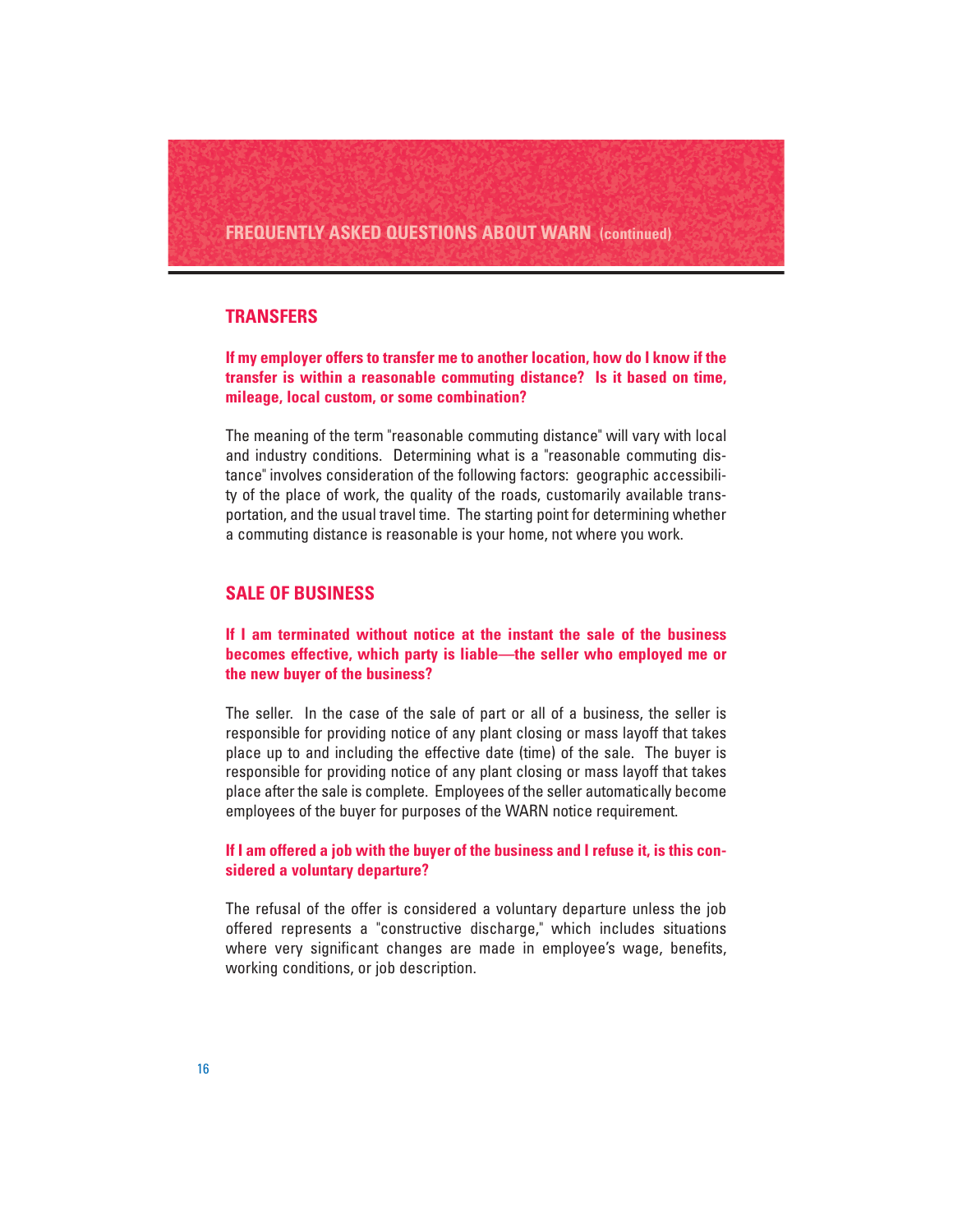## **TRANSFERS**

**If my employer offers to transfer me to another location, how do I know if the transfer is within a reasonable commuting distance? Is it based on time, mileage, local custom, or some combination?** 

The meaning of the term "reasonable commuting distance" will vary with local and industry conditions. Determining what is a "reasonable commuting distance" involves consideration of the following factors: geographic accessibility of the place of work, the quality of the roads, customarily available transportation, and the usual travel time. The starting point for determining whether a commuting distance is reasonable is your home, not where you work.

## **SALE OF BUSINESS**

**If I am terminated without notice at the instant the sale of the business becomes effective, which party is liable—the seller who employed me or the new buyer of the business?** 

The seller. In the case of the sale of part or all of a business, the seller is responsible for providing notice of any plant closing or mass layoff that takes place up to and including the effective date (time) of the sale. The buyer is responsible for providing notice of any plant closing or mass layoff that takes place after the sale is complete. Employees of the seller automatically become employees of the buyer for purposes of the WARN notice requirement.

#### **If I am offered a job with the buyer of the business and I refuse it, is this considered a voluntary departure?**

The refusal of the offer is considered a voluntary departure unless the job offered represents a "constructive discharge," which includes situations where very significant changes are made in employee's wage, benefits, working conditions, or job description.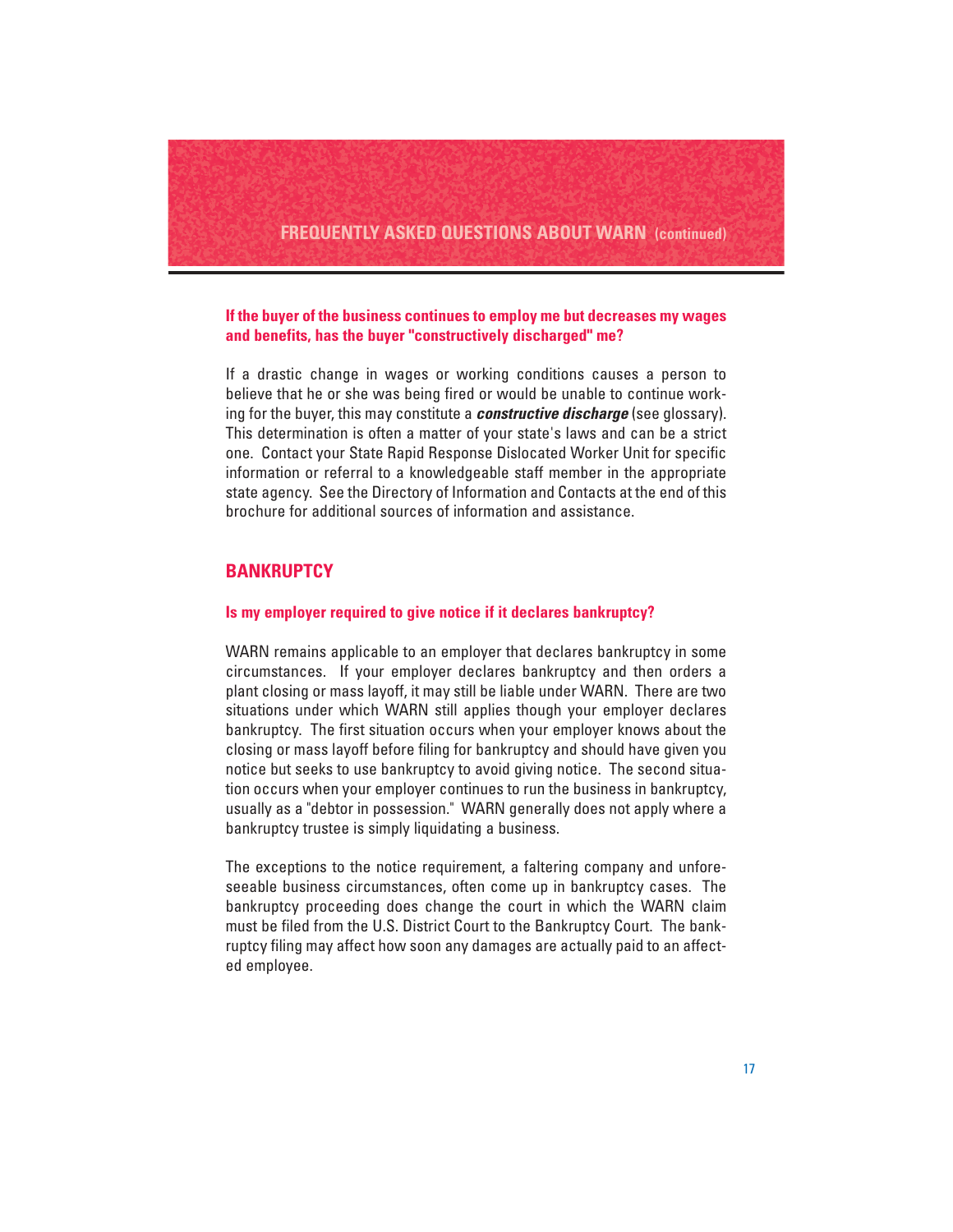#### **If the buyer of the business continues to employ me but decreases my wages and benefits, has the buyer "constructively discharged" me?**

If a drastic change in wages or working conditions causes a person to believe that he or she was being fired or would be unable to continue working for the buyer, this may constitute a *constructive discharge* (see glossary). This determination is often a matter of your state's laws and can be a strict one. Contact your State Rapid Response Dislocated Worker Unit for specific information or referral to a knowledgeable staff member in the appropriate state agency. See the Directory of Information and Contacts at the end of this brochure for additional sources of information and assistance.

## **BANKRUPTCY**

#### **Is my employer required to give notice if it declares bankruptcy?**

WARN remains applicable to an employer that declares bankruptcy in some circumstances. If your employer declares bankruptcy and then orders a plant closing or mass layoff, it may still be liable under WARN. There are two situations under which WARN still applies though your employer declares bankruptcy. The first situation occurs when your employer knows about the closing or mass layoff before filing for bankruptcy and should have given you notice but seeks to use bankruptcy to avoid giving notice. The second situation occurs when your employer continues to run the business in bankruptcy, usually as a "debtor in possession." WARN generally does not apply where a bankruptcy trustee is simply liquidating a business.

The exceptions to the notice requirement, a faltering company and unforeseeable business circumstances, often come up in bankruptcy cases. The bankruptcy proceeding does change the court in which the WARN claim must be filed from the U.S. District Court to the Bankruptcy Court. The bankruptcy filing may affect how soon any damages are actually paid to an affected employee.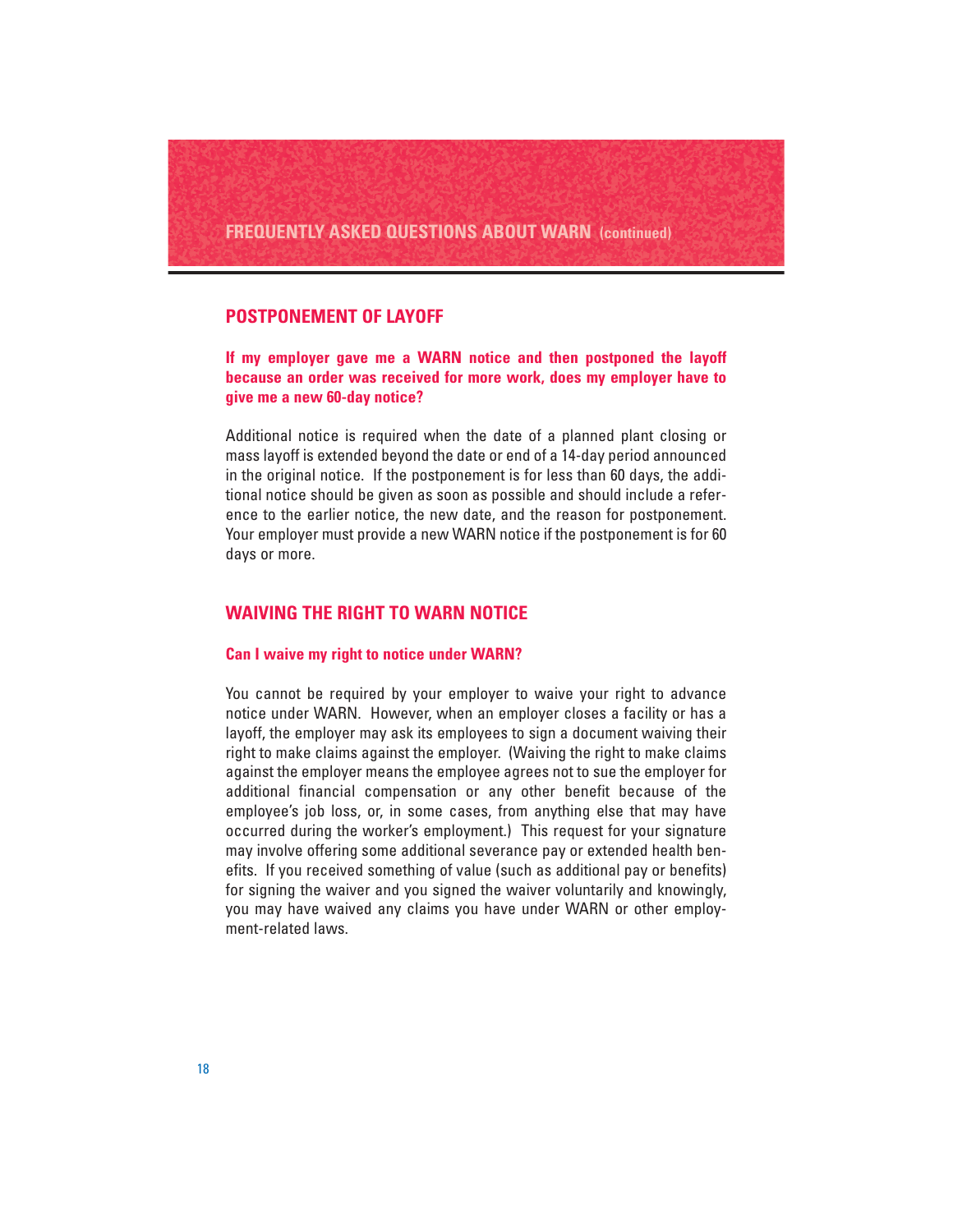## **FREQUENTLY ASKED QUESTIONS ABOUT WARN (continued)**

### **POSTPONEMENT OF LAYOFF**

**If my employer gave me a WARN notice and then postponed the layoff because an order was received for more work, does my employer have to give me a new 60-day notice?** 

Additional notice is required when the date of a planned plant closing or mass layoff is extended beyond the date or end of a 14-day period announced in the original notice. If the postponement is for less than 60 days, the additional notice should be given as soon as possible and should include a reference to the earlier notice, the new date, and the reason for postponement. Your employer must provide a new WARN notice if the postponement is for 60 days or more.

#### **WAIVING THE RIGHT TO WARN NOTICE**

#### **Can I waive my right to notice under WARN?**

You cannot be required by your employer to waive your right to advance notice under WARN. However, when an employer closes a facility or has a layoff, the employer may ask its employees to sign a document waiving their right to make claims against the employer. (Waiving the right to make claims against the employer means the employee agrees not to sue the employer for additional financial compensation or any other benefit because of the employee's job loss, or, in some cases, from anything else that may have occurred during the worker's employment.) This request for your signature may involve offering some additional severance pay or extended health benefits. If you received something of value (such as additional pay or benefits) for signing the waiver and you signed the waiver voluntarily and knowingly, you may have waived any claims you have under WARN or other employment-related laws.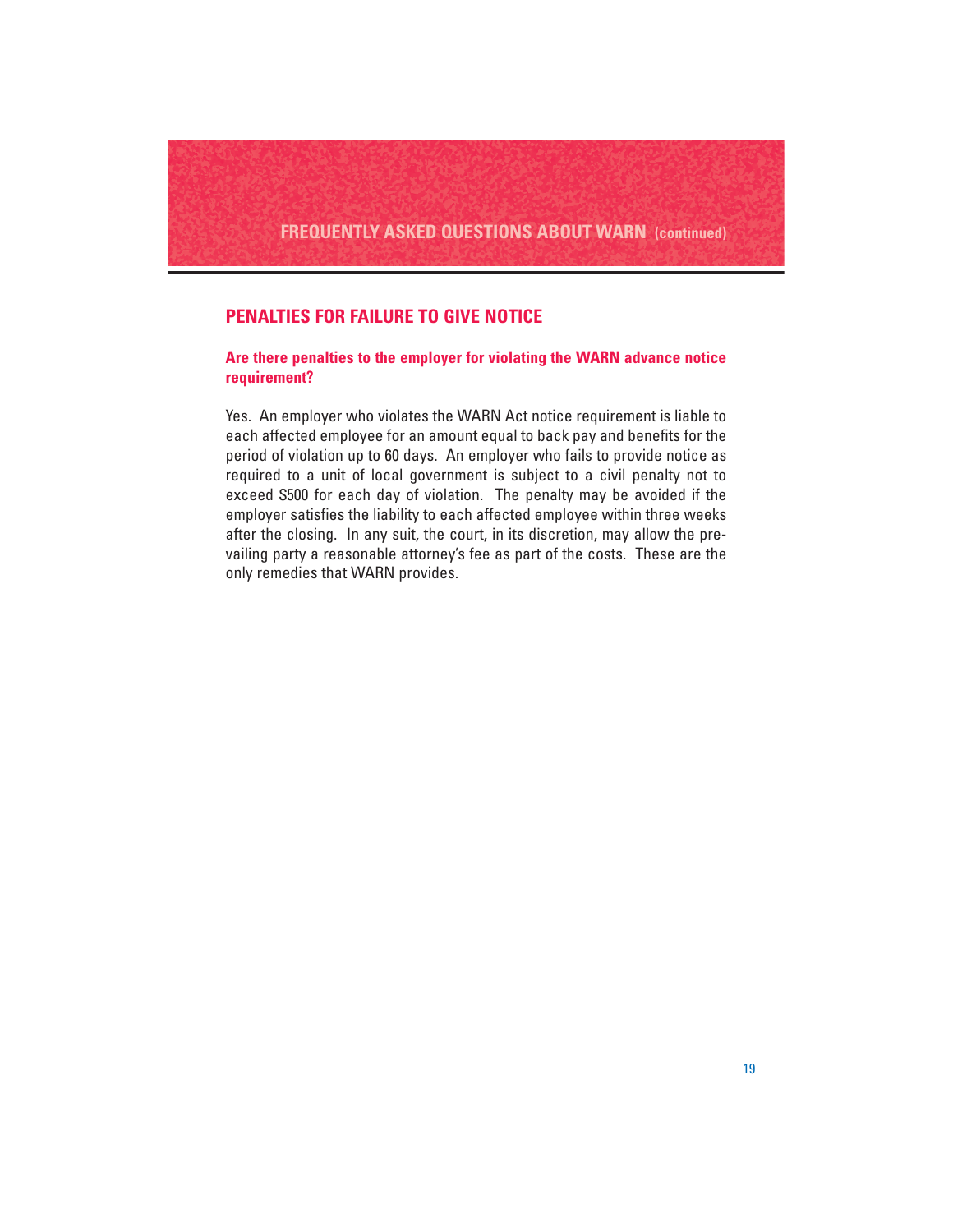## **PENALTIES FOR FAILURE TO GIVE NOTICE**

#### **Are there penalties to the employer for violating the WARN advance notice requirement?**

Yes. An employer who violates the WARN Act notice requirement is liable to each affected employee for an amount equal to back pay and benefits for the period of violation up to 60 days. An employer who fails to provide notice as required to a unit of local government is subject to a civil penalty not to exceed \$500 for each day of violation. The penalty may be avoided if the employer satisfies the liability to each affected employee within three weeks after the closing. In any suit, the court, in its discretion, may allow the prevailing party a reasonable attorney's fee as part of the costs. These are the only remedies that WARN provides.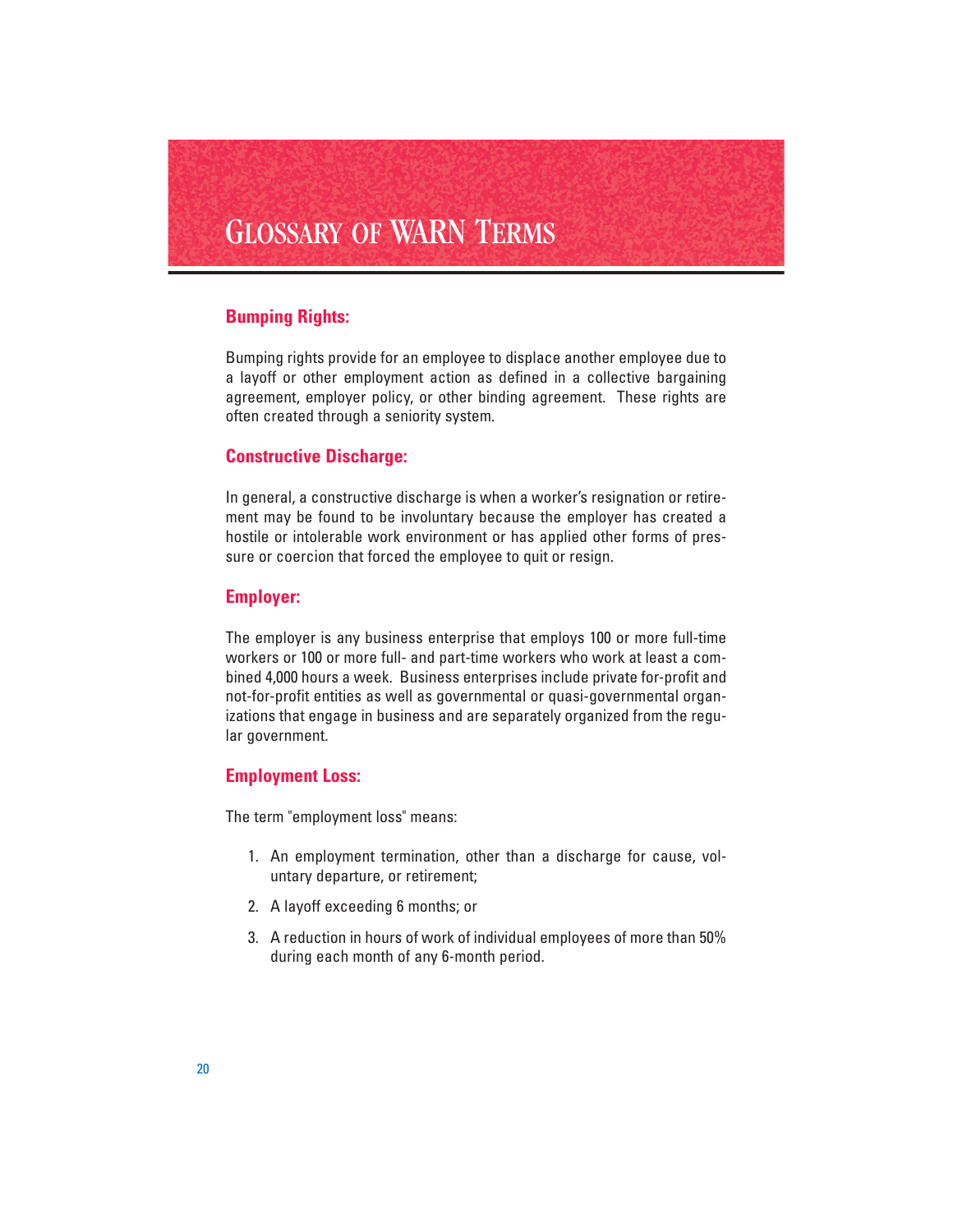## GLOSSARY OF WARN TERMS

## **Bumping Rights:**

Bumping rights provide for an employee to displace another employee due to a layoff or other employment action as defined in a collective bargaining agreement, employer policy, or other binding agreement. These rights are often created through a seniority system.

### **Constructive Discharge:**

In general, a constructive discharge is when a worker's resignation or retirement may be found to be involuntary because the employer has created a hostile or intolerable work environment or has applied other forms of pressure or coercion that forced the employee to quit or resign.

### **Employer:**

The employer is any business enterprise that employs 100 or more full-time workers or 100 or more full- and part-time workers who work at least a combined 4,000 hours a week. Business enterprises include private for-profit and not-for-profit entities as well as governmental or quasi-governmental organizations that engage in business and are separately organized from the regular government.

#### **Employment Loss:**

The term "employment loss" means:

- 1. An employment termination, other than a discharge for cause, voluntary departure, or retirement;
- 2. A layoff exceeding 6 months; or
- 3. A reduction in hours of work of individual employees of more than 50% during each month of any 6-month period.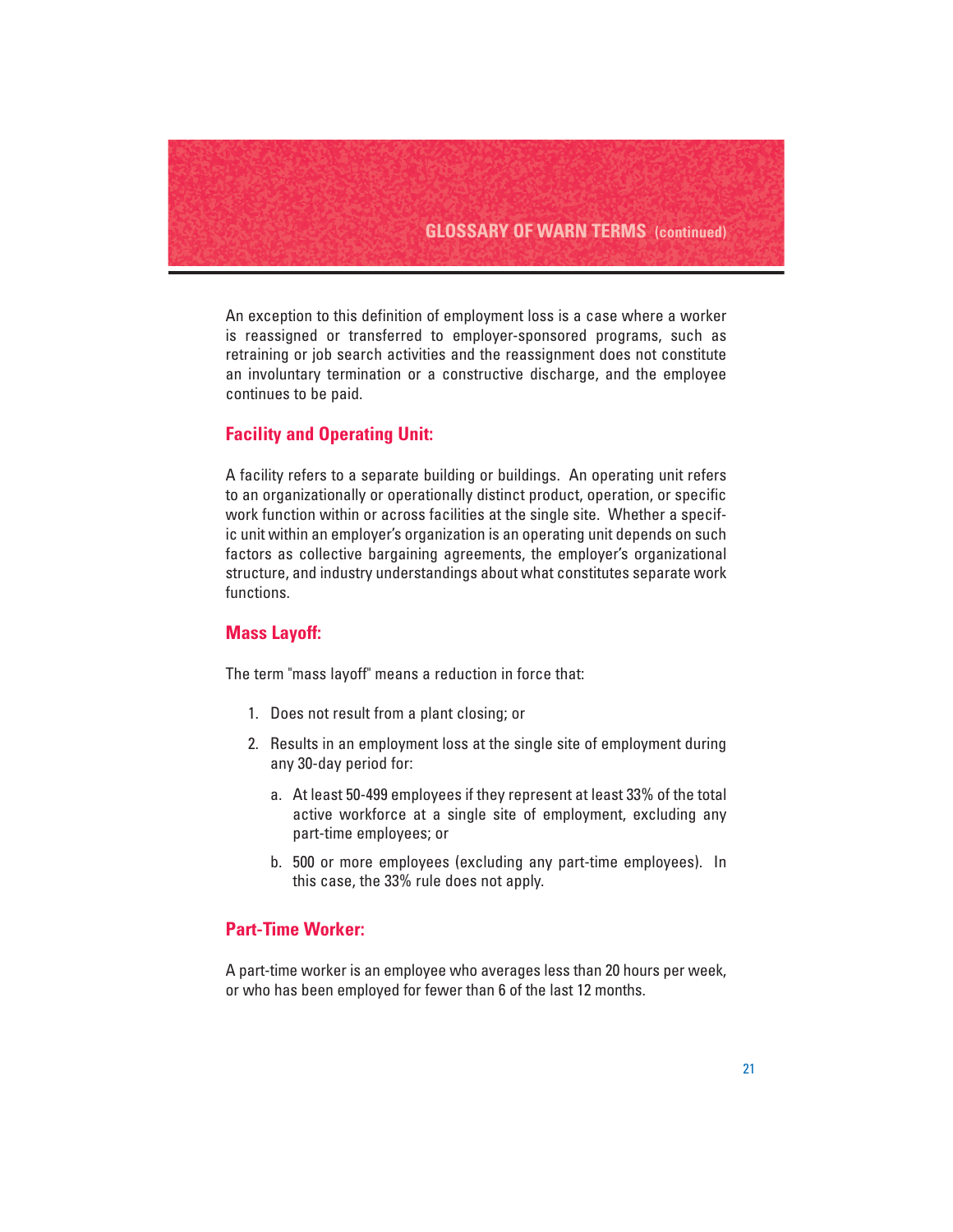An exception to this definition of employment loss is a case where a worker is reassigned or transferred to employer-sponsored programs, such as retraining or job search activities and the reassignment does not constitute an involuntary termination or a constructive discharge, and the employee continues to be paid.

### **Facility and Operating Unit:**

A facility refers to a separate building or buildings. An operating unit refers to an organizationally or operationally distinct product, operation, or specific work function within or across facilities at the single site. Whether a specific unit within an employer's organization is an operating unit depends on such factors as collective bargaining agreements, the employer's organizational structure, and industry understandings about what constitutes separate work functions.

#### **Mass Layoff:**

The term "mass layoff" means a reduction in force that:

- 1. Does not result from a plant closing; or
- 2. Results in an employment loss at the single site of employment during any 30-day period for:
	- a. At least 50-499 employees if they represent at least 33% of the total active workforce at a single site of employment, excluding any part-time employees; or
	- b. 500 or more employees (excluding any part-time employees). In this case, the 33% rule does not apply.

## **Part-Time Worker:**

A part-time worker is an employee who averages less than 20 hours per week, or who has been employed for fewer than 6 of the last 12 months.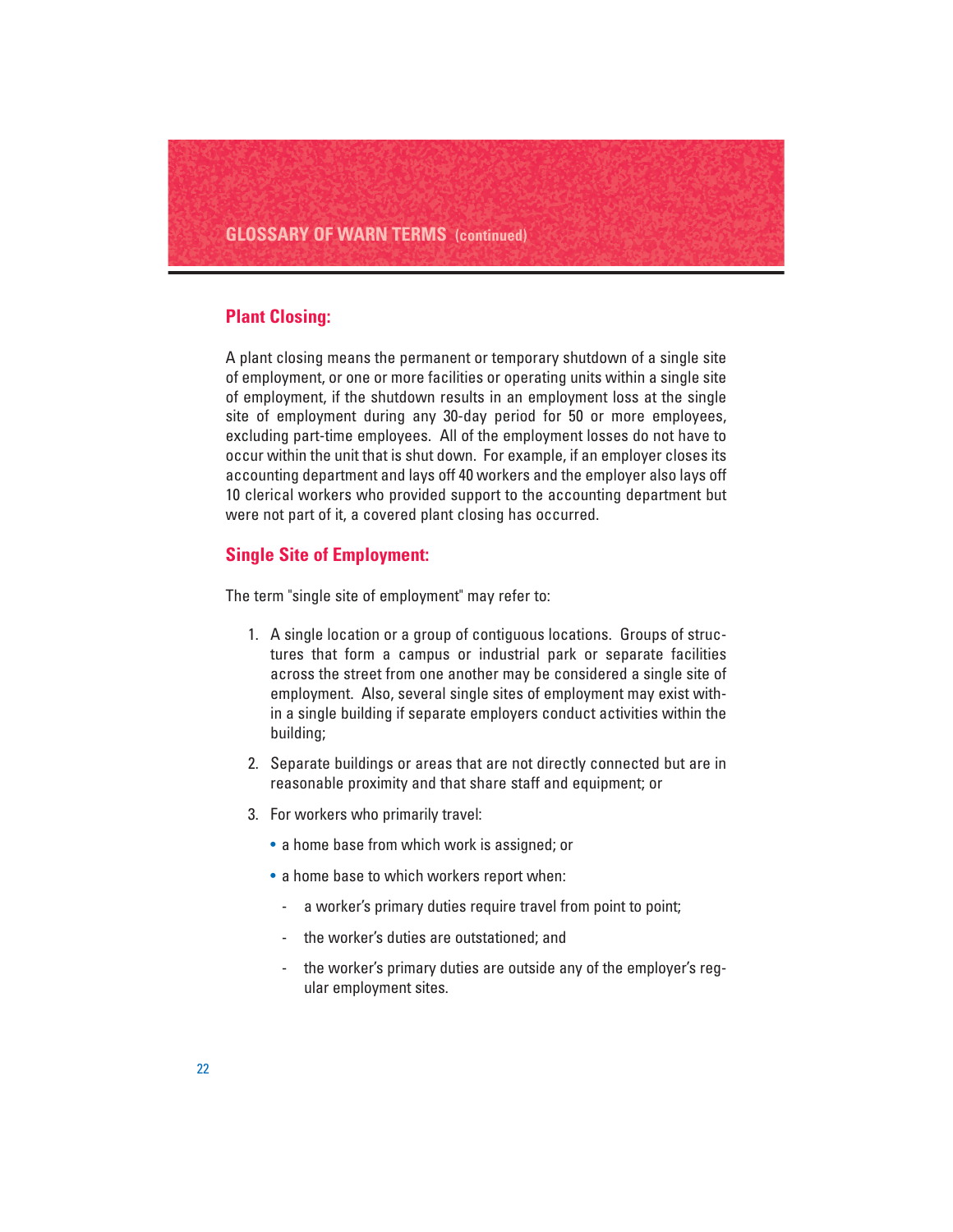## **Plant Closing:**

A plant closing means the permanent or temporary shutdown of a single site of employment, or one or more facilities or operating units within a single site of employment, if the shutdown results in an employment loss at the single site of employment during any 30-day period for 50 or more employees, excluding part-time employees. All of the employment losses do not have to occur within the unit that is shut down. For example, if an employer closes its accounting department and lays off 40 workers and the employer also lays off 10 clerical workers who provided support to the accounting department but were not part of it, a covered plant closing has occurred.

## **Single Site of Employment:**

The term "single site of employment" may refer to:

- 1. A single location or a group of contiguous locations. Groups of structures that form a campus or industrial park or separate facilities across the street from one another may be considered a single site of employment. Also, several single sites of employment may exist within a single building if separate employers conduct activities within the building;
- 2. Separate buildings or areas that are not directly connected but are in reasonable proximity and that share staff and equipment; or
- 3. For workers who primarily travel:
	- a home base from which work is assigned; or
	- a home base to which workers report when:
		- a worker's primary duties require travel from point to point;
		- the worker's duties are outstationed; and
	- the worker's primary duties are outside any of the employer's regular employment sites.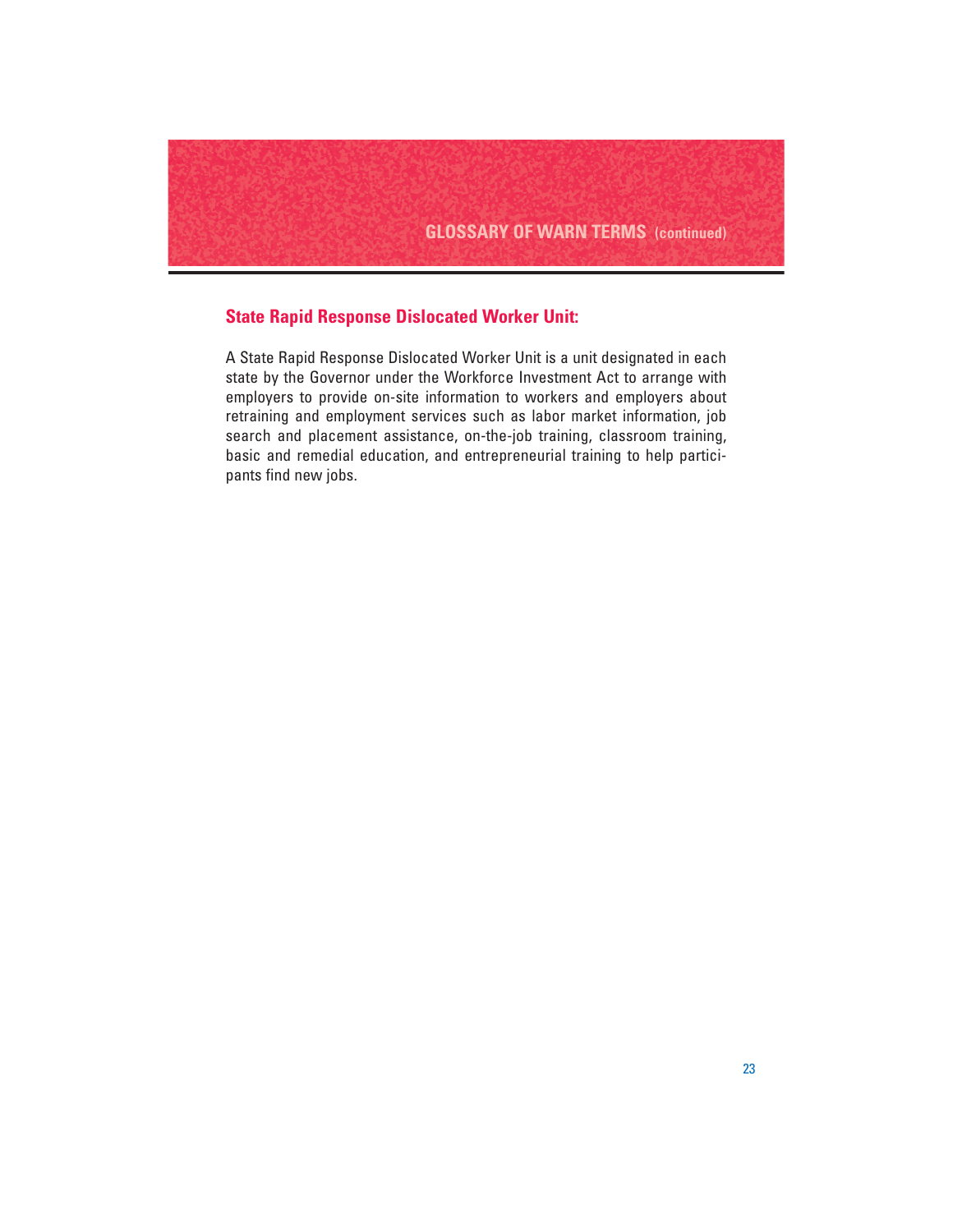## **State Rapid Response Dislocated Worker Unit:**

A State Rapid Response Dislocated Worker Unit is a unit designated in each state by the Governor under the Workforce Investment Act to arrange with employers to provide on-site information to workers and employers about retraining and employment services such as labor market information, job search and placement assistance, on-the-job training, classroom training, basic and remedial education, and entrepreneurial training to help participants find new jobs.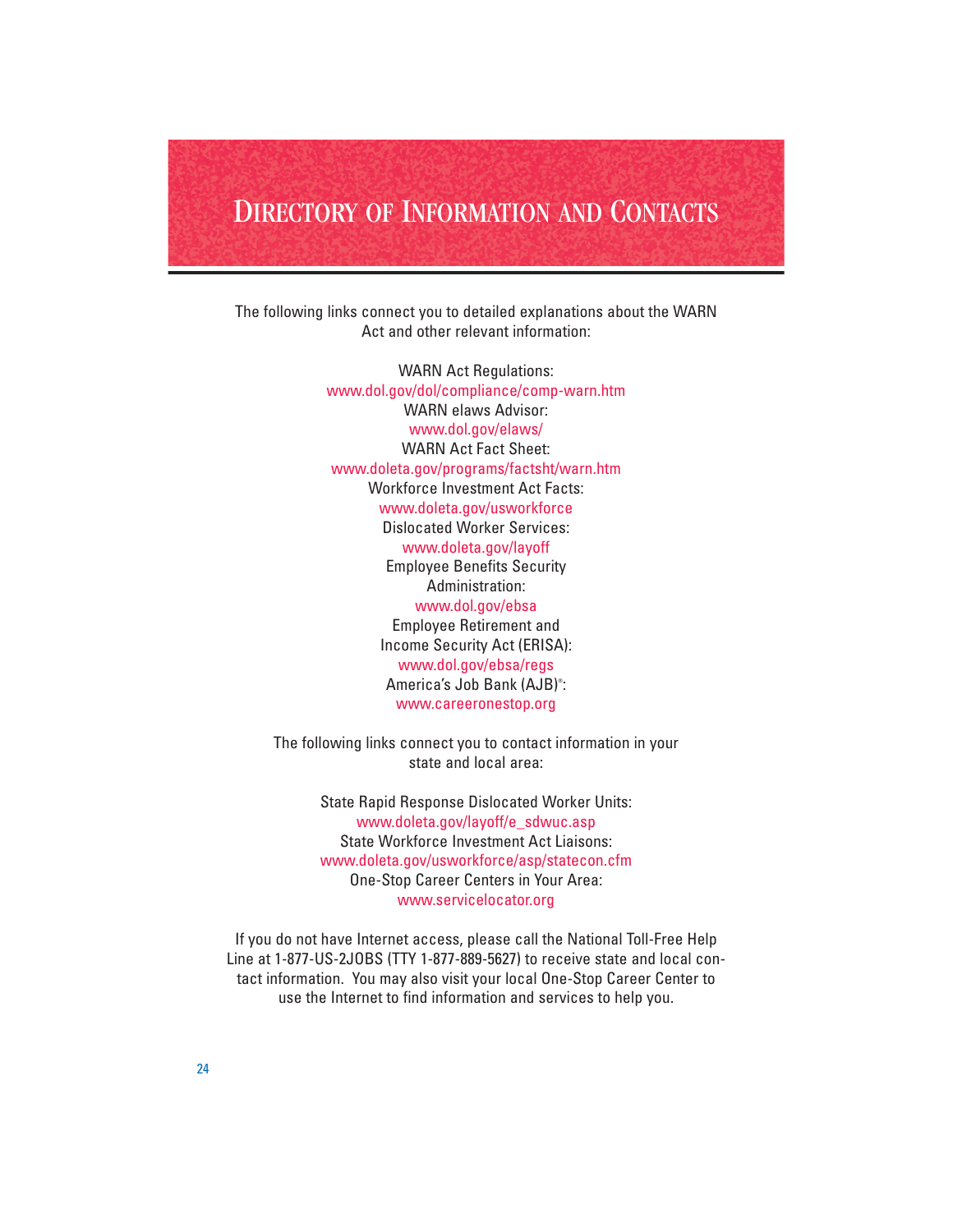## DIRECTORY OF INFORMATION AND CONTACTS

The following links connect you to detailed explanations about the WARN Act and other relevant information:

> WARN Act Regulations: www.dol.gov/dol/compliance/comp-warn.htm WARN elaws Advisor: www.dol.gov/elaws/ WARN Act Fact Sheet: www.doleta.gov/programs/factsht/warn.htm Workforce Investment Act Facts: www.doleta.gov/usworkforce Dislocated Worker Services: www.doleta.gov/layoff Employee Benefits Security Administration: www.dol.gov/ebsa Employee Retirement and Income Security Act (ERISA): www.dol.gov/ebsa/regs America's Job Bank (AJB)® : www.careeronestop.org

The following links connect you to contact information in your state and local area:

> State Rapid Response Dislocated Worker Units: www.doleta.gov/layoff/e\_sdwuc.asp State Workforce Investment Act Liaisons: www.doleta.gov/usworkforce/asp/statecon.cfm One-Stop Career Centers in Your Area: www.servicelocator.org

If you do not have Internet access, please call the National Toll-Free Help Line at 1-877-US-2JOBS (TTY 1-877-889-5627) to receive state and local contact information. You may also visit your local One-Stop Career Center to use the Internet to find information and services to help you.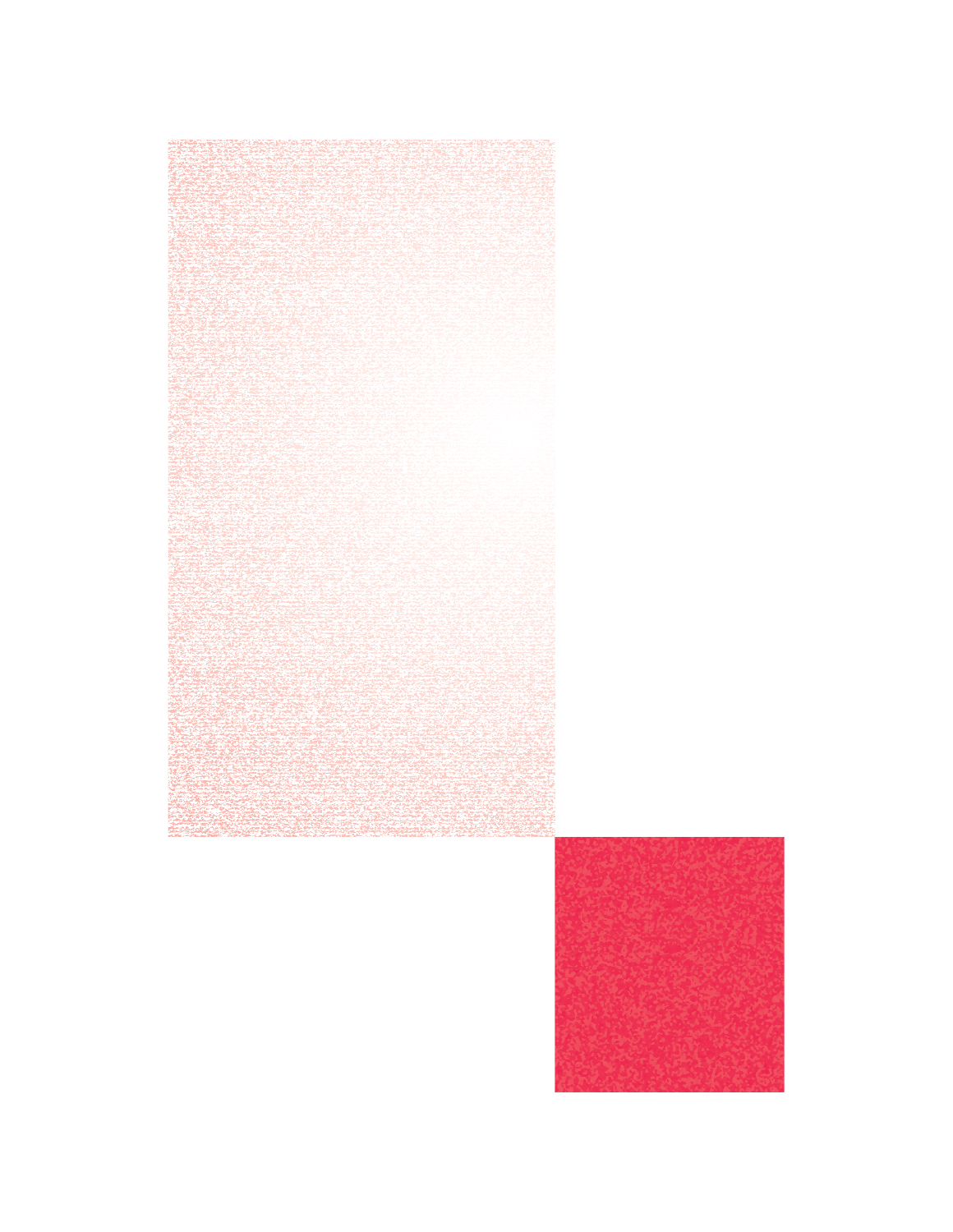